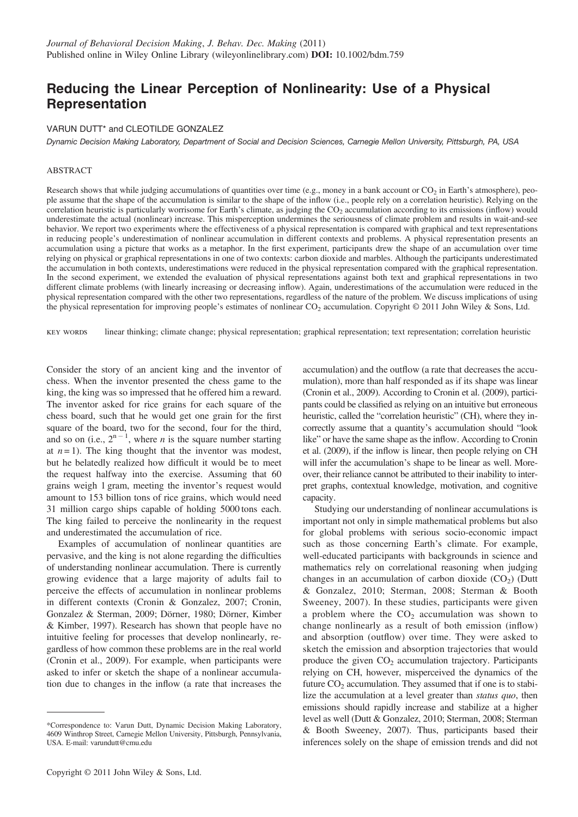# Reducing the Linear Perception of Nonlinearity: Use of a Physical Representation

#### VARUN DUTT\* and CLEOTILDE GONZALEZ

Dynamic Decision Making Laboratory, Department of Social and Decision Sciences, Carnegie Mellon University, Pittsburgh, PA, USA

#### ABSTRACT

Research shows that while judging accumulations of quantities over time (e.g., money in a bank account or  $CO_2$  in Earth's atmosphere), people assume that the shape of the accumulation is similar to the shape of the inflow (i.e., people rely on a correlation heuristic). Relying on the correlation heuristic is particularly worrisome for Earth's climate, as judging the CO<sub>2</sub> accumulation according to its emissions (inflow) would underestimate the actual (nonlinear) increase. This misperception undermines the seriousness of climate problem and results in wait-and-see behavior. We report two experiments where the effectiveness of a physical representation is compared with graphical and text representations in reducing people's underestimation of nonlinear accumulation in different contexts and problems. A physical representation presents an accumulation using a picture that works as a metaphor. In the first experiment, participants drew the shape of an accumulation over time relying on physical or graphical representations in one of two contexts: carbon dioxide and marbles. Although the participants underestimated the accumulation in both contexts, underestimations were reduced in the physical representation compared with the graphical representation. In the second experiment, we extended the evaluation of physical representations against both text and graphical representations in two different climate problems (with linearly increasing or decreasing inflow). Again, underestimations of the accumulation were reduced in the physical representation compared with the other two representations, regardless of the nature of the problem. We discuss implications of using the physical representation for improving people's estimates of nonlinear CO<sub>2</sub> accumulation. Copyright © 2011 John Wiley & Sons, Ltd.

key words linear thinking; climate change; physical representation; graphical representation; text representation; correlation heuristic

Consider the story of an ancient king and the inventor of chess. When the inventor presented the chess game to the king, the king was so impressed that he offered him a reward. The inventor asked for rice grains for each square of the chess board, such that he would get one grain for the first square of the board, two for the second, four for the third, and so on (i.e.,  $2^{n-1}$ , where *n* is the square number starting at  $n = 1$ ). The king thought that the inventor was modest, but he belatedly realized how difficult it would be to meet the request halfway into the exercise. Assuming that 60 grains weigh 1 gram, meeting the inventor's request would amount to 153 billion tons of rice grains, which would need 31 million cargo ships capable of holding 5000 tons each. The king failed to perceive the nonlinearity in the request and underestimated the accumulation of rice.

Examples of accumulation of nonlinear quantities are pervasive, and the king is not alone regarding the difficulties of understanding nonlinear accumulation. There is currently growing evidence that a large majority of adults fail to perceive the effects of accumulation in nonlinear problems in different contexts (Cronin & Gonzalez, 2007; Cronin, Gonzalez & Sterman, 2009; Dörner, 1980; Dörner, Kimber & Kimber, 1997). Research has shown that people have no intuitive feeling for processes that develop nonlinearly, regardless of how common these problems are in the real world (Cronin et al., 2009). For example, when participants were asked to infer or sketch the shape of a nonlinear accumulation due to changes in the inflow (a rate that increases the accumulation) and the outflow (a rate that decreases the accumulation), more than half responded as if its shape was linear (Cronin et al., 2009). According to Cronin et al. (2009), participants could be classified as relying on an intuitive but erroneous heuristic, called the "correlation heuristic" (CH), where they incorrectly assume that a quantity's accumulation should "look like" or have the same shape as the inflow. According to Cronin et al. (2009), if the inflow is linear, then people relying on CH will infer the accumulation's shape to be linear as well. Moreover, their reliance cannot be attributed to their inability to interpret graphs, contextual knowledge, motivation, and cognitive capacity.

Studying our understanding of nonlinear accumulations is important not only in simple mathematical problems but also for global problems with serious socio-economic impact such as those concerning Earth's climate. For example, well-educated participants with backgrounds in science and mathematics rely on correlational reasoning when judging changes in an accumulation of carbon dioxide  $(CO<sub>2</sub>)$  (Dutt & Gonzalez, 2010; Sterman, 2008; Sterman & Booth Sweeney, 2007). In these studies, participants were given a problem where the  $CO<sub>2</sub>$  accumulation was shown to change nonlinearly as a result of both emission (inflow) and absorption (outflow) over time. They were asked to sketch the emission and absorption trajectories that would produce the given  $CO<sub>2</sub>$  accumulation trajectory. Participants relying on CH, however, misperceived the dynamics of the future  $CO<sub>2</sub>$  accumulation. They assumed that if one is to stabilize the accumulation at a level greater than *status quo*, then emissions should rapidly increase and stabilize at a higher level as well (Dutt & Gonzalez, 2010; Sterman, 2008; Sterman & Booth Sweeney, 2007). Thus, participants based their inferences solely on the shape of emission trends and did not

<sup>\*</sup>Correspondence to: Varun Dutt, Dynamic Decision Making Laboratory, 4609 Winthrop Street, Carnegie Mellon University, Pittsburgh, Pennsylvania, USA. E-mail: varundutt@cmu.edu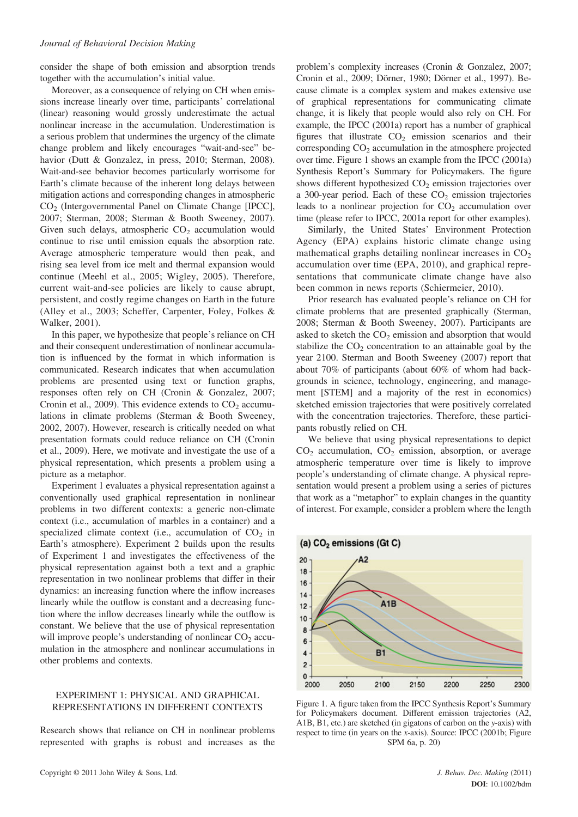consider the shape of both emission and absorption trends together with the accumulation's initial value.

Moreover, as a consequence of relying on CH when emissions increase linearly over time, participants' correlational (linear) reasoning would grossly underestimate the actual nonlinear increase in the accumulation. Underestimation is a serious problem that undermines the urgency of the climate change problem and likely encourages "wait-and-see" behavior (Dutt & Gonzalez, in press, 2010; Sterman, 2008). Wait-and-see behavior becomes particularly worrisome for Earth's climate because of the inherent long delays between mitigation actions and corresponding changes in atmospheric CO2 (Intergovernmental Panel on Climate Change [IPCC], 2007; Sterman, 2008; Sterman & Booth Sweeney, 2007). Given such delays, atmospheric  $CO<sub>2</sub>$  accumulation would continue to rise until emission equals the absorption rate. Average atmospheric temperature would then peak, and rising sea level from ice melt and thermal expansion would continue (Meehl et al., 2005; Wigley, 2005). Therefore, current wait-and-see policies are likely to cause abrupt, persistent, and costly regime changes on Earth in the future (Alley et al., 2003; Scheffer, Carpenter, Foley, Folkes & Walker, 2001).

In this paper, we hypothesize that people's reliance on CH and their consequent underestimation of nonlinear accumulation is influenced by the format in which information is communicated. Research indicates that when accumulation problems are presented using text or function graphs, responses often rely on CH (Cronin & Gonzalez, 2007; Cronin et al., 2009). This evidence extends to  $CO<sub>2</sub>$  accumulations in climate problems (Sterman & Booth Sweeney, 2002, 2007). However, research is critically needed on what presentation formats could reduce reliance on CH (Cronin et al., 2009). Here, we motivate and investigate the use of a physical representation, which presents a problem using a picture as a metaphor.

Experiment 1 evaluates a physical representation against a conventionally used graphical representation in nonlinear problems in two different contexts: a generic non-climate context (i.e., accumulation of marbles in a container) and a specialized climate context (i.e., accumulation of  $CO<sub>2</sub>$  in Earth's atmosphere). Experiment 2 builds upon the results of Experiment 1 and investigates the effectiveness of the physical representation against both a text and a graphic representation in two nonlinear problems that differ in their dynamics: an increasing function where the inflow increases linearly while the outflow is constant and a decreasing function where the inflow decreases linearly while the outflow is constant. We believe that the use of physical representation will improve people's understanding of nonlinear  $CO<sub>2</sub>$  accumulation in the atmosphere and nonlinear accumulations in other problems and contexts.

# EXPERIMENT 1: PHYSICAL AND GRAPHICAL REPRESENTATIONS IN DIFFERENT CONTEXTS

Research shows that reliance on CH in nonlinear problems represented with graphs is robust and increases as the problem's complexity increases (Cronin & Gonzalez, 2007; Cronin et al., 2009; Dörner, 1980; Dörner et al., 1997). Because climate is a complex system and makes extensive use of graphical representations for communicating climate change, it is likely that people would also rely on CH. For example, the IPCC (2001a) report has a number of graphical figures that illustrate  $CO<sub>2</sub>$  emission scenarios and their corresponding  $CO<sub>2</sub>$  accumulation in the atmosphere projected over time. Figure 1 shows an example from the IPCC (2001a) Synthesis Report's Summary for Policymakers. The figure shows different hypothesized  $CO<sub>2</sub>$  emission trajectories over a 300-year period. Each of these  $CO<sub>2</sub>$  emission trajectories leads to a nonlinear projection for  $CO<sub>2</sub>$  accumulation over time (please refer to IPCC, 2001a report for other examples).

Similarly, the United States' Environment Protection Agency (EPA) explains historic climate change using mathematical graphs detailing nonlinear increases in  $CO<sub>2</sub>$ accumulation over time (EPA, 2010), and graphical representations that communicate climate change have also been common in news reports (Schiermeier, 2010).

Prior research has evaluated people's reliance on CH for climate problems that are presented graphically (Sterman, 2008; Sterman & Booth Sweeney, 2007). Participants are asked to sketch the  $CO<sub>2</sub>$  emission and absorption that would stabilize the  $CO<sub>2</sub>$  concentration to an attainable goal by the year 2100. Sterman and Booth Sweeney (2007) report that about 70% of participants (about 60% of whom had backgrounds in science, technology, engineering, and management [STEM] and a majority of the rest in economics) sketched emission trajectories that were positively correlated with the concentration trajectories. Therefore, these participants robustly relied on CH.

We believe that using physical representations to depict  $CO<sub>2</sub>$  accumulation,  $CO<sub>2</sub>$  emission, absorption, or average atmospheric temperature over time is likely to improve people's understanding of climate change. A physical representation would present a problem using a series of pictures that work as a "metaphor" to explain changes in the quantity of interest. For example, consider a problem where the length



Figure 1. A figure taken from the IPCC Synthesis Report's Summary for Policymakers document. Different emission trajectories (A2, A1B, B1, etc.) are sketched (in gigatons of carbon on the y-axis) with respect to time (in years on the x-axis). Source: IPCC (2001b; Figure SPM 6a, p. 20)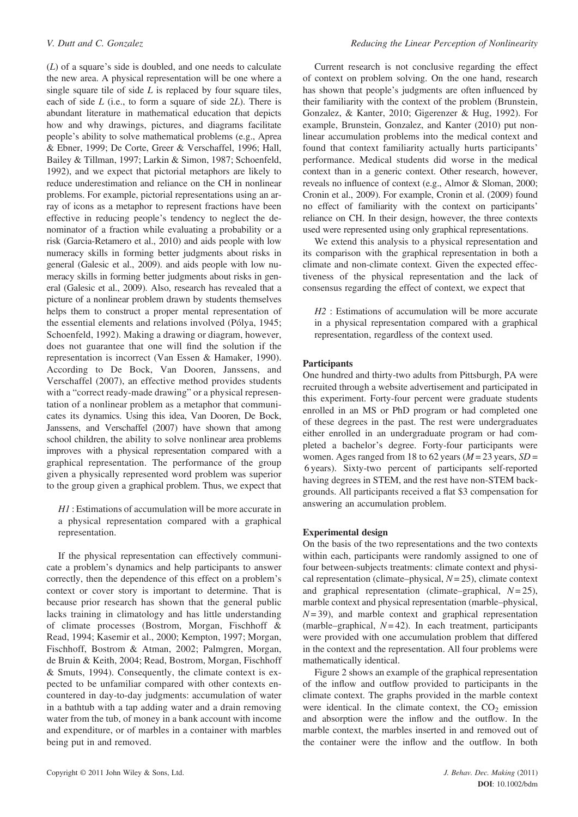(L) of a square's side is doubled, and one needs to calculate the new area. A physical representation will be one where a single square tile of side  $L$  is replaced by four square tiles, each of side  $L$  (i.e., to form a square of side  $2L$ ). There is abundant literature in mathematical education that depicts how and why drawings, pictures, and diagrams facilitate people's ability to solve mathematical problems (e.g., Aprea & Ebner, 1999; De Corte, Greer & Verschaffel, 1996; Hall, Bailey & Tillman, 1997; Larkin & Simon, 1987; Schoenfeld, 1992), and we expect that pictorial metaphors are likely to reduce underestimation and reliance on the CH in nonlinear problems. For example, pictorial representations using an array of icons as a metaphor to represent fractions have been effective in reducing people's tendency to neglect the denominator of a fraction while evaluating a probability or a risk (Garcia-Retamero et al., 2010) and aids people with low numeracy skills in forming better judgments about risks in general (Galesic et al., 2009). and aids people with low numeracy skills in forming better judgments about risks in general (Galesic et al., 2009). Also, research has revealed that a picture of a nonlinear problem drawn by students themselves helps them to construct a proper mental representation of the essential elements and relations involved (Pólya, 1945; Schoenfeld, 1992). Making a drawing or diagram, however, does not guarantee that one will find the solution if the representation is incorrect (Van Essen & Hamaker, 1990). According to De Bock, Van Dooren, Janssens, and Verschaffel (2007), an effective method provides students with a "correct ready-made drawing" or a physical representation of a nonlinear problem as a metaphor that communicates its dynamics. Using this idea, Van Dooren, De Bock, Janssens, and Verschaffel (2007) have shown that among school children, the ability to solve nonlinear area problems improves with a physical representation compared with a graphical representation. The performance of the group given a physically represented word problem was superior to the group given a graphical problem. Thus, we expect that

H1 : Estimations of accumulation will be more accurate in a physical representation compared with a graphical representation.

If the physical representation can effectively communicate a problem's dynamics and help participants to answer correctly, then the dependence of this effect on a problem's context or cover story is important to determine. That is because prior research has shown that the general public lacks training in climatology and has little understanding of climate processes (Bostrom, Morgan, Fischhoff & Read, 1994; Kasemir et al., 2000; Kempton, 1997; Morgan, Fischhoff, Bostrom & Atman, 2002; Palmgren, Morgan, de Bruin & Keith, 2004; Read, Bostrom, Morgan, Fischhoff & Smuts, 1994). Consequently, the climate context is expected to be unfamiliar compared with other contexts encountered in day-to-day judgments: accumulation of water in a bathtub with a tap adding water and a drain removing water from the tub, of money in a bank account with income and expenditure, or of marbles in a container with marbles being put in and removed.

Current research is not conclusive regarding the effect of context on problem solving. On the one hand, research has shown that people's judgments are often influenced by their familiarity with the context of the problem (Brunstein, Gonzalez, & Kanter, 2010; Gigerenzer & Hug, 1992). For example, Brunstein, Gonzalez, and Kanter (2010) put nonlinear accumulation problems into the medical context and found that context familiarity actually hurts participants' performance. Medical students did worse in the medical context than in a generic context. Other research, however, reveals no influence of context (e.g., Almor & Sloman, 2000; Cronin et al., 2009). For example, Cronin et al. (2009) found no effect of familiarity with the context on participants' reliance on CH. In their design, however, the three contexts used were represented using only graphical representations.

We extend this analysis to a physical representation and its comparison with the graphical representation in both a climate and non-climate context. Given the expected effectiveness of the physical representation and the lack of consensus regarding the effect of context, we expect that

H<sub>2</sub> : Estimations of accumulation will be more accurate in a physical representation compared with a graphical representation, regardless of the context used.

# **Participants**

One hundred and thirty-two adults from Pittsburgh, PA were recruited through a website advertisement and participated in this experiment. Forty-four percent were graduate students enrolled in an MS or PhD program or had completed one of these degrees in the past. The rest were undergraduates either enrolled in an undergraduate program or had completed a bachelor's degree. Forty-four participants were women. Ages ranged from 18 to 62 years ( $M = 23$  years,  $SD =$ 6 years). Sixty-two percent of participants self-reported having degrees in STEM, and the rest have non-STEM backgrounds. All participants received a flat \$3 compensation for answering an accumulation problem.

# Experimental design

On the basis of the two representations and the two contexts within each, participants were randomly assigned to one of four between-subjects treatments: climate context and physical representation (climate–physical,  $N = 25$ ), climate context and graphical representation (climate–graphical,  $N = 25$ ), marble context and physical representation (marble–physical,  $N = 39$ ), and marble context and graphical representation (marble–graphical,  $N = 42$ ). In each treatment, participants were provided with one accumulation problem that differed in the context and the representation. All four problems were mathematically identical.

Figure 2 shows an example of the graphical representation of the inflow and outflow provided to participants in the climate context. The graphs provided in the marble context were identical. In the climate context, the  $CO<sub>2</sub>$  emission and absorption were the inflow and the outflow. In the marble context, the marbles inserted in and removed out of the container were the inflow and the outflow. In both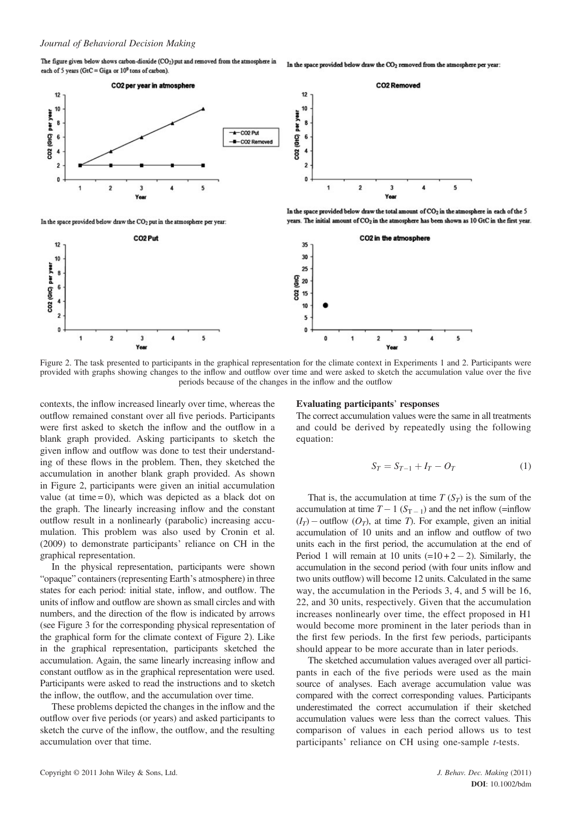The figure given below shows carbon-dioxide (CO<sub>2</sub>) put and removed from the atmosphere in In the space provided below draw the CO<sub>2</sub> removed from the atmosphere per year: each of 5 years (GtC = Giga or  $10^9$  tons of carbon).



In the space provided below draw the CO<sub>2</sub> put in the atmosphere per year:



In the space provided below draw the total amount of CO2 in the atmosphere in each of the 5 years. The initial amount of CO<sub>2</sub> in the atmosphere has been shown as 10 GtC in the first year.



Figure 2. The task presented to participants in the graphical representation for the climate context in Experiments 1 and 2. Participants were provided with graphs showing changes to the inflow and outflow over time and were asked to sketch the accumulation value over the five periods because of the changes in the inflow and the outflow

contexts, the inflow increased linearly over time, whereas the outflow remained constant over all five periods. Participants were first asked to sketch the inflow and the outflow in a blank graph provided. Asking participants to sketch the given inflow and outflow was done to test their understanding of these flows in the problem. Then, they sketched the accumulation in another blank graph provided. As shown in Figure 2, participants were given an initial accumulation value (at time  $= 0$ ), which was depicted as a black dot on the graph. The linearly increasing inflow and the constant outflow result in a nonlinearly (parabolic) increasing accumulation. This problem was also used by Cronin et al. (2009) to demonstrate participants' reliance on CH in the graphical representation.

In the physical representation, participants were shown "opaque" containers (representing Earth's atmosphere) in three states for each period: initial state, inflow, and outflow. The units of inflow and outflow are shown as small circles and with numbers, and the direction of the flow is indicated by arrows (see Figure 3 for the corresponding physical representation of the graphical form for the climate context of Figure 2). Like in the graphical representation, participants sketched the accumulation. Again, the same linearly increasing inflow and constant outflow as in the graphical representation were used. Participants were asked to read the instructions and to sketch the inflow, the outflow, and the accumulation over time.

These problems depicted the changes in the inflow and the outflow over five periods (or years) and asked participants to sketch the curve of the inflow, the outflow, and the resulting accumulation over that time.

#### Evaluating participants' responses

The correct accumulation values were the same in all treatments and could be derived by repeatedly using the following equation:

$$
S_T = S_{T-1} + I_T - O_T \tag{1}
$$

That is, the accumulation at time  $T(S_T)$  is the sum of the accumulation at time  $T - 1$  ( $S_{T-1}$ ) and the net inflow (=inflow  $(I_T)$  – outflow  $(O_T)$ , at time T). For example, given an initial accumulation of 10 units and an inflow and outflow of two units each in the first period, the accumulation at the end of Period 1 will remain at 10 units  $(=10+2-2)$ . Similarly, the accumulation in the second period (with four units inflow and two units outflow) will become 12 units. Calculated in the same way, the accumulation in the Periods 3, 4, and 5 will be 16, 22, and 30 units, respectively. Given that the accumulation increases nonlinearly over time, the effect proposed in H1 would become more prominent in the later periods than in the first few periods. In the first few periods, participants should appear to be more accurate than in later periods.

The sketched accumulation values averaged over all participants in each of the five periods were used as the main source of analyses. Each average accumulation value was compared with the correct corresponding values. Participants underestimated the correct accumulation if their sketched accumulation values were less than the correct values. This comparison of values in each period allows us to test participants' reliance on CH using one-sample t-tests.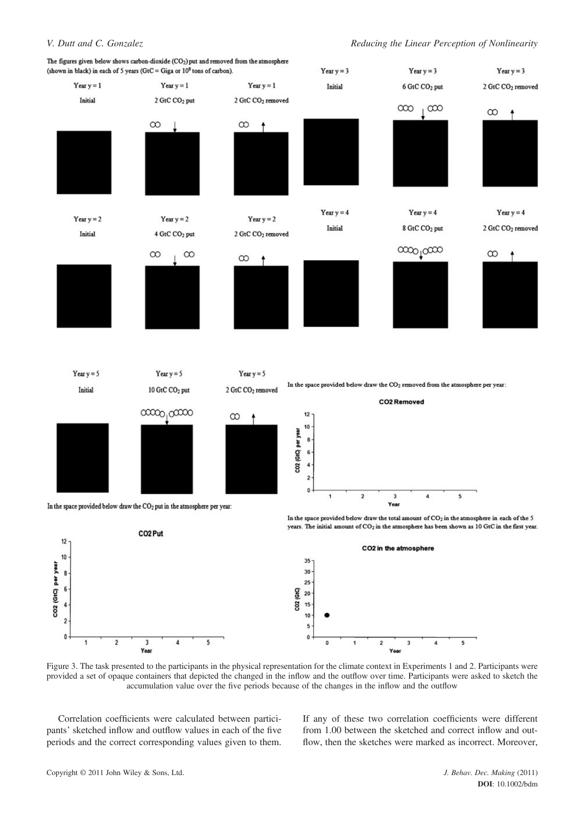

Figure 3. The task presented to the participants in the physical representation for the climate context in Experiments 1 and 2. Participants were provided a set of opaque containers that depicted the changed in the inflow and the outflow over time. Participants were asked to sketch the accumulation value over the five periods because of the changes in the inflow and the outflow

Correlation coefficients were calculated between participants' sketched inflow and outflow values in each of the five periods and the correct corresponding values given to them. If any of these two correlation coefficients were different from 1.00 between the sketched and correct inflow and outflow, then the sketches were marked as incorrect. Moreover,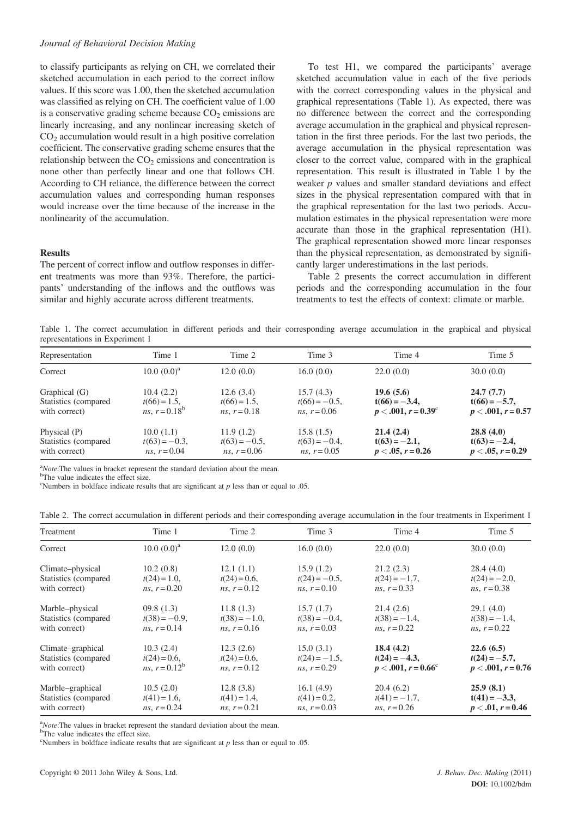### Journal of Behavioral Decision Making

to classify participants as relying on CH, we correlated their sketched accumulation in each period to the correct inflow values. If this score was 1.00, then the sketched accumulation was classified as relying on CH. The coefficient value of 1.00 is a conservative grading scheme because  $CO<sub>2</sub>$  emissions are linearly increasing, and any nonlinear increasing sketch of  $CO<sub>2</sub>$  accumulation would result in a high positive correlation coefficient. The conservative grading scheme ensures that the relationship between the  $CO<sub>2</sub>$  emissions and concentration is none other than perfectly linear and one that follows CH. According to CH reliance, the difference between the correct accumulation values and corresponding human responses would increase over the time because of the increase in the nonlinearity of the accumulation.

#### **Results**

The percent of correct inflow and outflow responses in different treatments was more than 93%. Therefore, the participants' understanding of the inflows and the outflows was similar and highly accurate across different treatments.

To test H1, we compared the participants' average sketched accumulation value in each of the five periods with the correct corresponding values in the physical and graphical representations (Table 1). As expected, there was no difference between the correct and the corresponding average accumulation in the graphical and physical representation in the first three periods. For the last two periods, the average accumulation in the physical representation was closer to the correct value, compared with in the graphical representation. This result is illustrated in Table 1 by the weaker  $p$  values and smaller standard deviations and effect sizes in the physical representation compared with that in the graphical representation for the last two periods. Accumulation estimates in the physical representation were more accurate than those in the graphical representation (H1). The graphical representation showed more linear responses than the physical representation, as demonstrated by significantly larger underestimations in the last periods.

Table 2 presents the correct accumulation in different periods and the corresponding accumulation in the four treatments to test the effects of context: climate or marble.

Table 1. The correct accumulation in different periods and their corresponding average accumulation in the graphical and physical representations in Experiment 1

| Representation        | Time 1                 | Time 2                 | Time 3                 | Time 4                       | Time 5               |
|-----------------------|------------------------|------------------------|------------------------|------------------------------|----------------------|
| Correct               | $10.0~(0.0)^a$         | 12.0(0.0)              | 16.0(0.0)              | 22.0(0.0)                    | 30.0(0.0)            |
| Graphical (G)         | 10.4(2.2)              | 12.6(3.4)              | 15.7(4.3)              | 19.6(5.6)                    | 24.7(7.7)            |
| Statistics (compared) | $t(66) = 1.5$ ,        | $t(66) = 1.5$ ,        | $t(66) = -0.5$ ,       | $t(66) = -3.4$               | $t(66) = -5.7$ ,     |
| with correct)         | ns, $r = 0.18^{\circ}$ | <i>ns</i> , $r = 0.18$ | <i>ns</i> , $r = 0.06$ | $p < .001, r = 0.39^{\circ}$ | $p < .001, r = 0.57$ |
| Physical (P)          | 10.0(1.1)              | 11.9(1.2)              | 15.8(1.5)              | 21.4(2.4)                    | 28.8(4.0)            |
| Statistics (compared  | $t(63) = -0.3$         | $t(63) = -0.5$ ,       | $t(63) = -0.4$         | $t(63) = -2.1$ ,             | $t(63) = -2.4$ ,     |
| with correct)         | <i>ns</i> , $r = 0.04$ | <i>ns</i> , $r = 0.06$ | <i>ns</i> , $r = 0.05$ | $p < .05, r = 0.26$          | $p < .05, r = 0.29$  |

 $a^4$ Note: The values in bracket represent the standard deviation about the mean.

<sup>b</sup>The value indicates the effect size.

<sup>c</sup>Numbers in boldface indicate results that are significant at  $p$  less than or equal to .05.

|  |  |  |  | Table 2. The correct accumulation in different periods and their corresponding average accumulation in the four treatments in Experiment 1 |  |  |  |  |
|--|--|--|--|--------------------------------------------------------------------------------------------------------------------------------------------|--|--|--|--|
|  |  |  |  |                                                                                                                                            |  |  |  |  |

| Treatment             | Time 1           | Time 2           | Time 3                 | Time 4                       | Time 5               |
|-----------------------|------------------|------------------|------------------------|------------------------------|----------------------|
| Correct               | $10.0~(0.0)^a$   | 12.0(0.0)        | 16.0(0.0)              | 22.0(0.0)                    | 30.0(0.0)            |
| Climate-physical      | 10.2(0.8)        | 12.1(1.1)        | 15.9(1.2)              | 21.2(2.3)                    | 28.4(4.0)            |
| Statistics (compared  | $t(24) = 1.0$ ,  | $t(24) = 0.6$ ,  | $t(24) = -0.5$ ,       | $t(24) = -1.7$ ,             | $t(24) = -2.0$ ,     |
| with correct)         | $ns, r = 0.20$   | $ns, r = 0.12$   | $ns, r = 0.10$         | ns, $r = 0.33$               | $ns, r = 0.38$       |
| Marble-physical       | 09.8(1.3)        | 11.8(1.3)        | 15.7(1.7)              | 21.4(2.6)                    | 29.1(4.0)            |
| Statistics (compared) | $t(38) = -0.9$ , | $t(38) = -1.0$ , | $t(38) = -0.4$ ,       | $t(38) = -1.4$ ,             | $t(38) = -1.4$ ,     |
| with correct)         | $ns, r = 0.14$   | ns, $r = 0.16$   | $ns, r = 0.03$         | $ns, r = 0.22$               | $ns, r = 0.22$       |
| Climate-graphical     | 10.3(2.4)        | 12.3(2.6)        | 15.0(3.1)              | 18.4(4.2)                    | 22.6(6.5)            |
| Statistics (compared) | $t(24) = 0.6$ ,  | $t(24) = 0.6$ ,  | $t(24) = -1.5$ ,       | $t(24) = -4.3$               | $t(24) = -5.7$ ,     |
| with correct)         | ns, $r = 0.12^b$ | $ns, r = 0.12$   | $ns, r = 0.29$         | $p < .001, r = 0.66^{\circ}$ | $p < .001, r = 0.76$ |
| Marble-graphical      | 10.5(2.0)        | 12.8(3.8)        | 16.1(4.9)              | 20.4(6.2)                    | 25.9(8.1)            |
| Statistics (compared  | $t(41) = 1.6$ ,  | $t(41) = 1.4$ ,  | $t(41) = 0.2$ ,        | $t(41) = -1.7$ ,             | $t(41) = -3.3$ ,     |
| with correct)         | $ns, r = 0.24$   | $ns, r = 0.21$   | <i>ns</i> , $r = 0.03$ | $ns, r = 0.26$               | $p < .01, r = 0.46$  |

 $^{a}$ *Note*: The values in bracket represent the standard deviation about the mean.

<sup>b</sup>The value indicates the effect size.

<sup>c</sup>Numbers in boldface indicate results that are significant at  $p$  less than or equal to .05.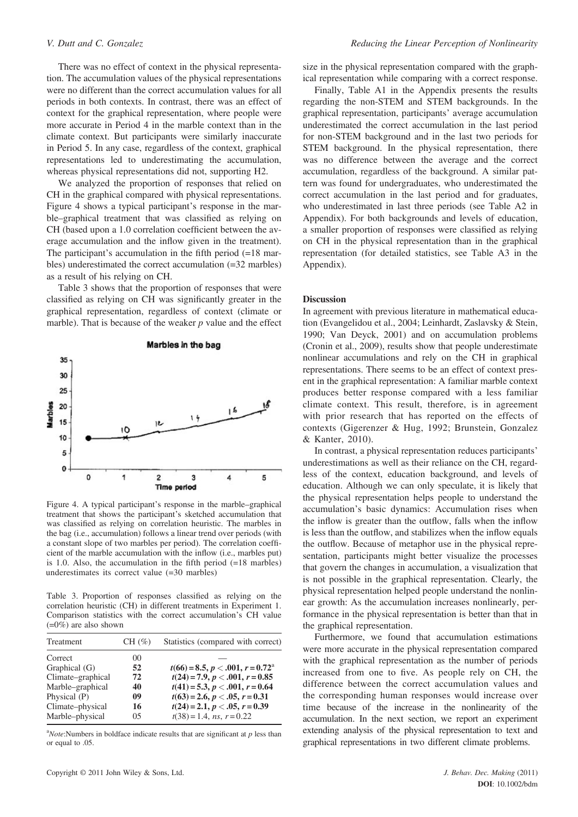There was no effect of context in the physical representation. The accumulation values of the physical representations were no different than the correct accumulation values for all periods in both contexts. In contrast, there was an effect of context for the graphical representation, where people were more accurate in Period 4 in the marble context than in the climate context. But participants were similarly inaccurate in Period 5. In any case, regardless of the context, graphical representations led to underestimating the accumulation, whereas physical representations did not, supporting H2.

We analyzed the proportion of responses that relied on CH in the graphical compared with physical representations. Figure 4 shows a typical participant's response in the marble–graphical treatment that was classified as relying on CH (based upon a 1.0 correlation coefficient between the average accumulation and the inflow given in the treatment). The participant's accumulation in the fifth period  $(=18 \text{ mar}$ bles) underestimated the correct accumulation (=32 marbles) as a result of his relying on CH.

Table 3 shows that the proportion of responses that were classified as relying on CH was significantly greater in the graphical representation, regardless of context (climate or marble). That is because of the weaker  $p$  value and the effect



Figure 4. A typical participant's response in the marble–graphical treatment that shows the participant's sketched accumulation that was classified as relying on correlation heuristic. The marbles in the bag (i.e., accumulation) follows a linear trend over periods (with a constant slope of two marbles per period). The correlation coefficient of the marble accumulation with the inflow (i.e., marbles put) is 1.0. Also, the accumulation in the fifth period (=18 marbles) underestimates its correct value (=30 marbles)

Table 3. Proportion of responses classified as relying on the correlation heuristic (CH) in different treatments in Experiment 1. Comparison statistics with the correct accumulation's CH value  $(=0\%)$  are also shown

| Treatment         | $CH(\%)$ | Statistics (compared with correct)           |
|-------------------|----------|----------------------------------------------|
| Correct           | 00       |                                              |
| Graphical (G)     | 52       | $t(66) = 8.5, p < .001, r = 0.72^{\text{a}}$ |
| Climate-graphical | 72       | $t(24) = 7.9, p < .001, r = 0.85$            |
| Marble-graphical  | 40       | $t(41) = 5.3, p < .001, r = 0.64$            |
| Physical (P)      | 09       | $t(63) = 2.6, p < .05, r = 0.31$             |
| Climate-physical  | 16       | $t(24) = 2.1, p < .05, r = 0.39$             |
| Marble-physical   | 05       | $t(38) = 1.4$ , ns, $r = 0.22$               |

 $a^2$ Note:Numbers in boldface indicate results that are significant at p less than or equal to .05.

size in the physical representation compared with the graphical representation while comparing with a correct response.

Finally, Table A1 in the Appendix presents the results regarding the non-STEM and STEM backgrounds. In the graphical representation, participants' average accumulation underestimated the correct accumulation in the last period for non-STEM background and in the last two periods for STEM background. In the physical representation, there was no difference between the average and the correct accumulation, regardless of the background. A similar pattern was found for undergraduates, who underestimated the correct accumulation in the last period and for graduates, who underestimated in last three periods (see Table A2 in Appendix). For both backgrounds and levels of education, a smaller proportion of responses were classified as relying on CH in the physical representation than in the graphical representation (for detailed statistics, see Table A3 in the Appendix).

#### Discussion

In agreement with previous literature in mathematical education (Evangelidou et al., 2004; Leinhardt, Zaslavsky & Stein, 1990; Van Deyck, 2001) and on accumulation problems (Cronin et al., 2009), results show that people underestimate nonlinear accumulations and rely on the CH in graphical representations. There seems to be an effect of context present in the graphical representation: A familiar marble context produces better response compared with a less familiar climate context. This result, therefore, is in agreement with prior research that has reported on the effects of contexts (Gigerenzer & Hug, 1992; Brunstein, Gonzalez & Kanter, 2010).

In contrast, a physical representation reduces participants' underestimations as well as their reliance on the CH, regardless of the context, education background, and levels of education. Although we can only speculate, it is likely that the physical representation helps people to understand the accumulation's basic dynamics: Accumulation rises when the inflow is greater than the outflow, falls when the inflow is less than the outflow, and stabilizes when the inflow equals the outflow. Because of metaphor use in the physical representation, participants might better visualize the processes that govern the changes in accumulation, a visualization that is not possible in the graphical representation. Clearly, the physical representation helped people understand the nonlinear growth: As the accumulation increases nonlinearly, performance in the physical representation is better than that in the graphical representation.

Furthermore, we found that accumulation estimations were more accurate in the physical representation compared with the graphical representation as the number of periods increased from one to five. As people rely on CH, the difference between the correct accumulation values and the corresponding human responses would increase over time because of the increase in the nonlinearity of the accumulation. In the next section, we report an experiment extending analysis of the physical representation to text and graphical representations in two different climate problems.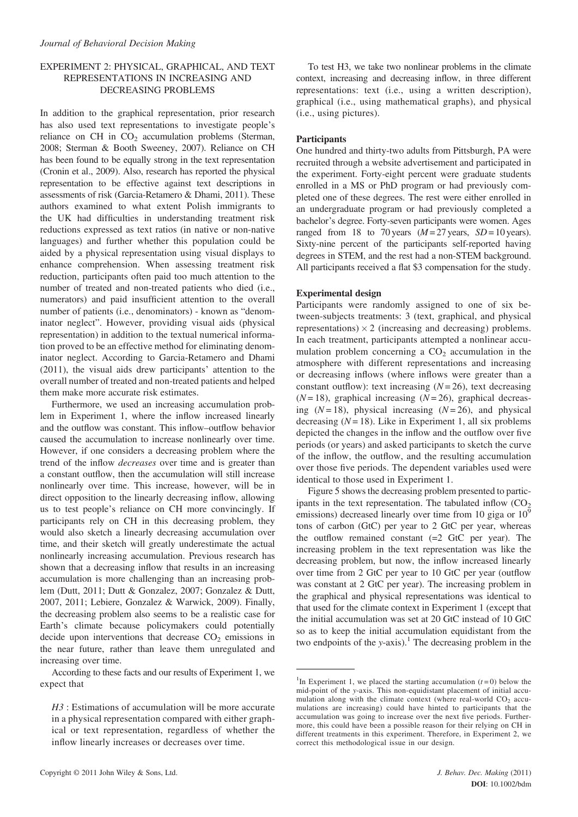# EXPERIMENT 2: PHYSICAL, GRAPHICAL, AND TEXT REPRESENTATIONS IN INCREASING AND DECREASING PROBLEMS

In addition to the graphical representation, prior research has also used text representations to investigate people's reliance on CH in  $CO<sub>2</sub>$  accumulation problems (Sterman, 2008; Sterman & Booth Sweeney, 2007). Reliance on CH has been found to be equally strong in the text representation (Cronin et al., 2009). Also, research has reported the physical representation to be effective against text descriptions in assessments of risk (Garcia-Retamero & Dhami, 2011). These authors examined to what extent Polish immigrants to the UK had difficulties in understanding treatment risk reductions expressed as text ratios (in native or non-native languages) and further whether this population could be aided by a physical representation using visual displays to enhance comprehension. When assessing treatment risk reduction, participants often paid too much attention to the number of treated and non-treated patients who died (i.e., numerators) and paid insufficient attention to the overall number of patients (i.e., denominators) - known as "denominator neglect". However, providing visual aids (physical representation) in addition to the textual numerical information proved to be an effective method for eliminating denominator neglect. According to Garcia-Retamero and Dhami (2011), the visual aids drew participants' attention to the overall number of treated and non-treated patients and helped them make more accurate risk estimates.

Furthermore, we used an increasing accumulation problem in Experiment 1, where the inflow increased linearly and the outflow was constant. This inflow–outflow behavior caused the accumulation to increase nonlinearly over time. However, if one considers a decreasing problem where the trend of the inflow decreases over time and is greater than a constant outflow, then the accumulation will still increase nonlinearly over time. This increase, however, will be in direct opposition to the linearly decreasing inflow, allowing us to test people's reliance on CH more convincingly. If participants rely on CH in this decreasing problem, they would also sketch a linearly decreasing accumulation over time, and their sketch will greatly underestimate the actual nonlinearly increasing accumulation. Previous research has shown that a decreasing inflow that results in an increasing accumulation is more challenging than an increasing problem (Dutt, 2011; Dutt & Gonzalez, 2007; Gonzalez & Dutt, 2007, 2011; Lebiere, Gonzalez & Warwick, 2009). Finally, the decreasing problem also seems to be a realistic case for Earth's climate because policymakers could potentially decide upon interventions that decrease  $CO<sub>2</sub>$  emissions in the near future, rather than leave them unregulated and increasing over time.

According to these facts and our results of Experiment 1, we expect that

To test H3, we take two nonlinear problems in the climate context, increasing and decreasing inflow, in three different representations: text (i.e., using a written description), graphical (i.e., using mathematical graphs), and physical (i.e., using pictures).

# Participants

One hundred and thirty-two adults from Pittsburgh, PA were recruited through a website advertisement and participated in the experiment. Forty-eight percent were graduate students enrolled in a MS or PhD program or had previously completed one of these degrees. The rest were either enrolled in an undergraduate program or had previously completed a bachelor's degree. Forty-seven participants were women. Ages ranged from 18 to 70 years ( $M = 27$  years,  $SD = 10$  years). Sixty-nine percent of the participants self-reported having degrees in STEM, and the rest had a non-STEM background. All participants received a flat \$3 compensation for the study.

#### Experimental design

Participants were randomly assigned to one of six between-subjects treatments: 3 (text, graphical, and physical representations)  $\times$  2 (increasing and decreasing) problems. In each treatment, participants attempted a nonlinear accumulation problem concerning a  $CO<sub>2</sub>$  accumulation in the atmosphere with different representations and increasing or decreasing inflows (where inflows were greater than a constant outflow): text increasing  $(N=26)$ , text decreasing  $(N=18)$ , graphical increasing  $(N=26)$ , graphical decreasing  $(N=18)$ , physical increasing  $(N=26)$ , and physical decreasing  $(N = 18)$ . Like in Experiment 1, all six problems depicted the changes in the inflow and the outflow over five periods (or years) and asked participants to sketch the curve of the inflow, the outflow, and the resulting accumulation over those five periods. The dependent variables used were identical to those used in Experiment 1.

Figure 5 shows the decreasing problem presented to participants in the text representation. The tabulated inflow  $(CO<sub>2</sub>)$ emissions) decreased linearly over time from 10 giga or 10<sup>9</sup> tons of carbon (GtC) per year to 2 GtC per year, whereas the outflow remained constant  $(=2 \text{ GtC per year})$ . The increasing problem in the text representation was like the decreasing problem, but now, the inflow increased linearly over time from 2 GtC per year to 10 GtC per year (outflow was constant at 2 GtC per year). The increasing problem in the graphical and physical representations was identical to that used for the climate context in Experiment 1 (except that the initial accumulation was set at 20 GtC instead of 10 GtC so as to keep the initial accumulation equidistant from the two endpoints of the y-axis).<sup>1</sup> The decreasing problem in the

H<sub>3</sub> : Estimations of accumulation will be more accurate in a physical representation compared with either graphical or text representation, regardless of whether the inflow linearly increases or decreases over time.

<sup>&</sup>lt;sup>1</sup>In Experiment 1, we placed the starting accumulation  $(t=0)$  below the mid-point of the y-axis. This non-equidistant placement of initial accumulation along with the climate context (where real-world  $CO<sub>2</sub>$  accumulations are increasing) could have hinted to participants that the accumulation was going to increase over the next five periods. Furthermore, this could have been a possible reason for their relying on CH in different treatments in this experiment. Therefore, in Experiment 2, we correct this methodological issue in our design.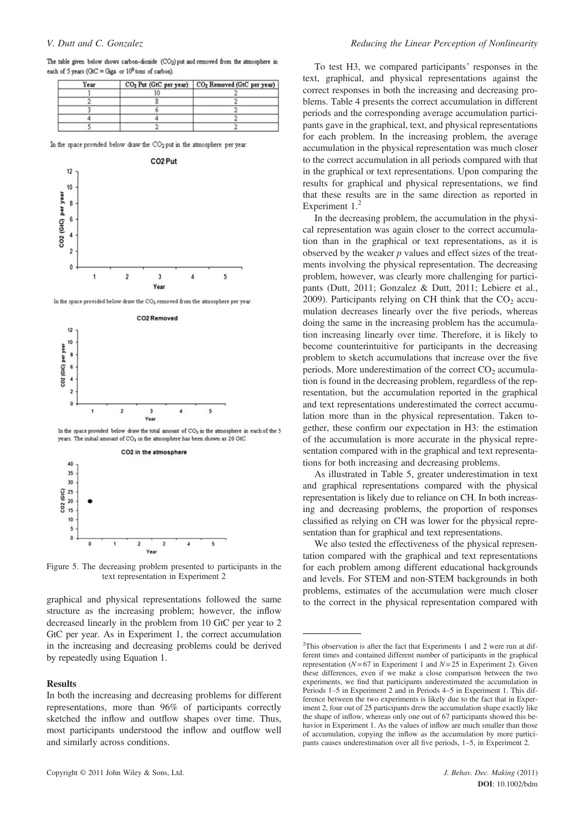|  |  | The table given below shows carbon-dioxide (CO <sub>2</sub> ) put and removed from the atmosphere in |  |  |  |
|--|--|------------------------------------------------------------------------------------------------------|--|--|--|
|  |  | each of 5 years (GtC = Giga or $10^9$ tons of carbon).                                               |  |  |  |

| Year | CO <sub>2</sub> Put (GtC per year) CO <sub>2</sub> Removed (GtC per year) |
|------|---------------------------------------------------------------------------|
|      |                                                                           |
|      |                                                                           |
|      |                                                                           |
|      |                                                                           |
|      |                                                                           |

In the space provided below draw the CO<sub>2</sub> put in the atmosphere per year.



Figure 5. The decreasing problem presented to participants in the text representation in Experiment 2

graphical and physical representations followed the same structure as the increasing problem; however, the inflow decreased linearly in the problem from 10 GtC per year to 2 GtC per year. As in Experiment 1, the correct accumulation in the increasing and decreasing problems could be derived by repeatedly using Equation 1.

### Results

In both the increasing and decreasing problems for different representations, more than 96% of participants correctly sketched the inflow and outflow shapes over time. Thus, most participants understood the inflow and outflow well and similarly across conditions.

To test H3, we compared participants' responses in the text, graphical, and physical representations against the correct responses in both the increasing and decreasing problems. Table 4 presents the correct accumulation in different periods and the corresponding average accumulation participants gave in the graphical, text, and physical representations for each problem. In the increasing problem, the average accumulation in the physical representation was much closer to the correct accumulation in all periods compared with that in the graphical or text representations. Upon comparing the results for graphical and physical representations, we find that these results are in the same direction as reported in Experiment 1.<sup>2</sup>

In the decreasing problem, the accumulation in the physical representation was again closer to the correct accumulation than in the graphical or text representations, as it is observed by the weaker  $p$  values and effect sizes of the treatments involving the physical representation. The decreasing problem, however, was clearly more challenging for participants (Dutt, 2011; Gonzalez & Dutt, 2011; Lebiere et al., 2009). Participants relying on CH think that the  $CO<sub>2</sub>$  accumulation decreases linearly over the five periods, whereas doing the same in the increasing problem has the accumulation increasing linearly over time. Therefore, it is likely to become counterintuitive for participants in the decreasing problem to sketch accumulations that increase over the five periods. More underestimation of the correct  $CO<sub>2</sub>$  accumulation is found in the decreasing problem, regardless of the representation, but the accumulation reported in the graphical and text representations underestimated the correct accumulation more than in the physical representation. Taken together, these confirm our expectation in H3: the estimation of the accumulation is more accurate in the physical representation compared with in the graphical and text representations for both increasing and decreasing problems.

As illustrated in Table 5, greater underestimation in text and graphical representations compared with the physical representation is likely due to reliance on CH. In both increasing and decreasing problems, the proportion of responses classified as relying on CH was lower for the physical representation than for graphical and text representations.

We also tested the effectiveness of the physical representation compared with the graphical and text representations for each problem among different educational backgrounds and levels. For STEM and non-STEM backgrounds in both problems, estimates of the accumulation were much closer to the correct in the physical representation compared with

 $2$ This observation is after the fact that Experiments 1 and 2 were run at different times and contained different number of participants in the graphical representation ( $N=67$  in Experiment 1 and  $N=25$  in Experiment 2). Given these differences, even if we make a close comparison between the two experiments, we find that participants underestimated the accumulation in Periods 1–5 in Experiment 2 and in Periods 4–5 in Experiment 1. This difference between the two experiments is likely due to the fact that in Experiment 2, four out of 25 participants drew the accumulation shape exactly like the shape of inflow, whereas only one out of 67 participants showed this behavior in Experiment 1. As the values of inflow are much smaller than those of accumulation, copying the inflow as the accumulation by more participants causes underestimation over all five periods, 1–5, in Experiment 2.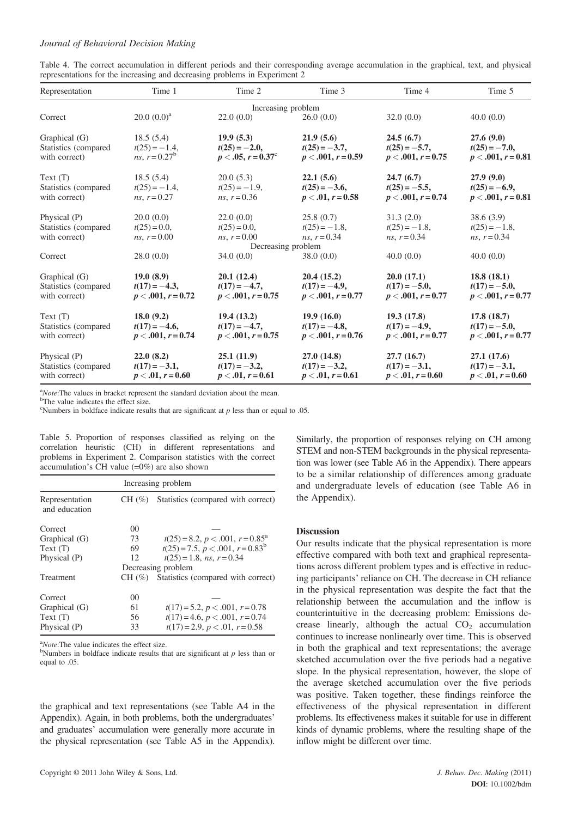### Journal of Behavioral Decision Making

|  |                                                                            |  |  | Table 4. The correct accumulation in different periods and their corresponding average accumulation in the graphical, text, and physical |  |  |  |  |
|--|----------------------------------------------------------------------------|--|--|------------------------------------------------------------------------------------------------------------------------------------------|--|--|--|--|
|  | representations for the increasing and decreasing problems in Experiment 2 |  |  |                                                                                                                                          |  |  |  |  |

| Representation       | Time 1               | Time 2                      | Time 3               | Time 4               | Time 5               |
|----------------------|----------------------|-----------------------------|----------------------|----------------------|----------------------|
|                      |                      | Increasing problem          |                      |                      |                      |
| Correct              | $20.0~(0.0)^a$       | 22.0(0.0)                   | 26.0(0.0)            | 32.0(0.0)            | 40.0(0.0)            |
| Graphical (G)        | 18.5(5.4)            | 19.9(5.3)                   | 21.9(5.6)            | 24.5(6.7)            | 27.6(9.0)            |
| Statistics (compared | $t(25) = -1.4$ ,     | $t(25) = -2.0$              | $t(25) = -3.7$ ,     | $t(25) = -5.7$ ,     | $t(25) = -7.0$ ,     |
| with correct)        | ns. $r = 0.27^b$     | $p < .05, r = 0.37^{\circ}$ | $p < .001, r = 0.59$ | $p < .001, r = 0.75$ | $p < .001, r = 0.81$ |
| Text(T)              | 18.5(5.4)            | 20.0(5.3)                   | 22.1(5.6)            | 24.7(6.7)            | 27.9(9.0)            |
| Statistics (compared | $t(25) = -1.4$ ,     | $t(25) = -1.9$ ,            | $t(25) = -3.6$ ,     | $t(25) = -5.5$ ,     | $t(25) = -6.9$ ,     |
| with correct)        | ns. $r = 0.27$       | $ns, r = 0.36$              | $p < .01, r = 0.58$  | $p < .001, r = 0.74$ | $p < .001, r = 0.81$ |
| Physical (P)         | 20.0(0.0)            | 22.0(0.0)                   | 25.8(0.7)            | 31.3(2.0)            | 38.6(3.9)            |
| Statistics (compared | $t(25) = 0.0$ ,      | $t(25) = 0.0$ ,             | $t(25) = -1.8$ ,     | $t(25) = -1.8$ ,     | $t(25) = -1.8$ ,     |
| with correct)        | ns. $r = 0.00$       | $ns, r = 0.00$              | $ns, r = 0.34$       | ns. $r = 0.34$       | $ns, r = 0.34$       |
|                      |                      | Decreasing problem          |                      |                      |                      |
| Correct              | 28.0(0.0)            | 34.0(0.0)                   | 38.0(0.0)            | 40.0(0.0)            | 40.0(0.0)            |
| Graphical (G)        | 19.0(8.9)            | 20.1(12.4)                  | 20.4(15.2)           | 20.0(17.1)           | 18.8(18.1)           |
| Statistics (compared | $t(17) = -4.3$       | $t(17) = -4.7$ ,            | $t(17) = -4.9$ ,     | $t(17) = -5.0$ ,     | $t(17) = -5.0$ ,     |
| with correct)        | $p < .001, r = 0.72$ | $p < .001, r = 0.75$        | $p < .001, r = 0.77$ | $p < .001, r = 0.77$ | $p < .001, r = 0.77$ |
| Text(T)              | 18.0(9.2)            | 19.4(13.2)                  | 19.9(16.0)           | 19.3(17.8)           | 17.8(18.7)           |
| Statistics (compared | $t(17) = -4.6$ ,     | $t(17) = -4.7$ ,            | $t(17) = -4.8$       | $t(17) = -4.9$ ,     | $t(17) = -5.0$ ,     |
| with correct)        | $p < .001, r = 0.74$ | $p < .001, r = 0.75$        | $p < .001, r = 0.76$ | $p < .001, r = 0.77$ | $p < .001, r = 0.77$ |
| Physical (P)         | 22.0(8.2)            | 25.1(11.9)                  | 27.0(14.8)           | 27.7(16.7)           | 27.1(17.6)           |
| Statistics (compared | $t(17) = -3.1$ ,     | $t(17) = -3.2$              | $t(17) = -3.2$       | $t(17) = -3.1$ ,     | $t(17) = -3.1$ ,     |
| with correct)        | $p < .01, r = 0.60$  | $p < .01, r = 0.61$         | $p < .01, r = 0.61$  | $p < .01, r = 0.60$  | $p < .01, r = 0.60$  |

 $^{a}$ *Note*: The values in bracket represent the standard deviation about the mean.

<sup>b</sup>The value indicates the effect size.

<sup>c</sup>Numbers in boldface indicate results that are significant at  $p$  less than or equal to .05.

Table 5. Proportion of responses classified as relying on the correlation heuristic (CH) in different representations and problems in Experiment 2. Comparison statistics with the correct accumulation's CH value (=0%) are also shown

| Increasing problem              |                |                                                 |  |  |  |  |  |  |
|---------------------------------|----------------|-------------------------------------------------|--|--|--|--|--|--|
| Representation<br>and education | $CH(\%)$       | Statistics (compared with correct)              |  |  |  |  |  |  |
| Correct                         | 00             |                                                 |  |  |  |  |  |  |
| Graphical (G)                   | 73             | $t(25) = 8.2, p < .001, r = 0.85^{\text{a}}$    |  |  |  |  |  |  |
| Text(T)                         | 69             | $t(25) = 7.5$ , $p < .001$ , $r = 0.83^{\circ}$ |  |  |  |  |  |  |
| Physical (P)                    | 12             | $t(25) = 1.8$ , ns, $r = 0.34$                  |  |  |  |  |  |  |
|                                 |                | Decreasing problem                              |  |  |  |  |  |  |
| Treatment                       | $CH(\%)$       | Statistics (compared with correct)              |  |  |  |  |  |  |
| Correct                         | 0 <sup>0</sup> |                                                 |  |  |  |  |  |  |
| Graphical (G)                   | 61             | $t(17) = 5.2, p < .001, r = 0.78$               |  |  |  |  |  |  |
| Text(T)                         | 56             | $t(17) = 4.6, p < .001, r = 0.74$               |  |  |  |  |  |  |
| Physical (P)                    | 33             | $t(17) = 2.9, p < .01, r = 0.58$                |  |  |  |  |  |  |

 $a^2$ *Note*: The value indicates the effect size.

<sup>b</sup>Numbers in boldface indicate results that are significant at  $p$  less than or equal to .05.

the graphical and text representations (see Table A4 in the Appendix). Again, in both problems, both the undergraduates' and graduates' accumulation were generally more accurate in the physical representation (see Table A5 in the Appendix).

Similarly, the proportion of responses relying on CH among STEM and non-STEM backgrounds in the physical representation was lower (see Table A6 in the Appendix). There appears to be a similar relationship of differences among graduate and undergraduate levels of education (see Table A6 in the Appendix).

### **Discussion**

Our results indicate that the physical representation is more effective compared with both text and graphical representations across different problem types and is effective in reducing participants' reliance on CH. The decrease in CH reliance in the physical representation was despite the fact that the relationship between the accumulation and the inflow is counterintuitive in the decreasing problem: Emissions decrease linearly, although the actual  $CO<sub>2</sub>$  accumulation continues to increase nonlinearly over time. This is observed in both the graphical and text representations; the average sketched accumulation over the five periods had a negative slope. In the physical representation, however, the slope of the average sketched accumulation over the five periods was positive. Taken together, these findings reinforce the effectiveness of the physical representation in different problems. Its effectiveness makes it suitable for use in different kinds of dynamic problems, where the resulting shape of the inflow might be different over time.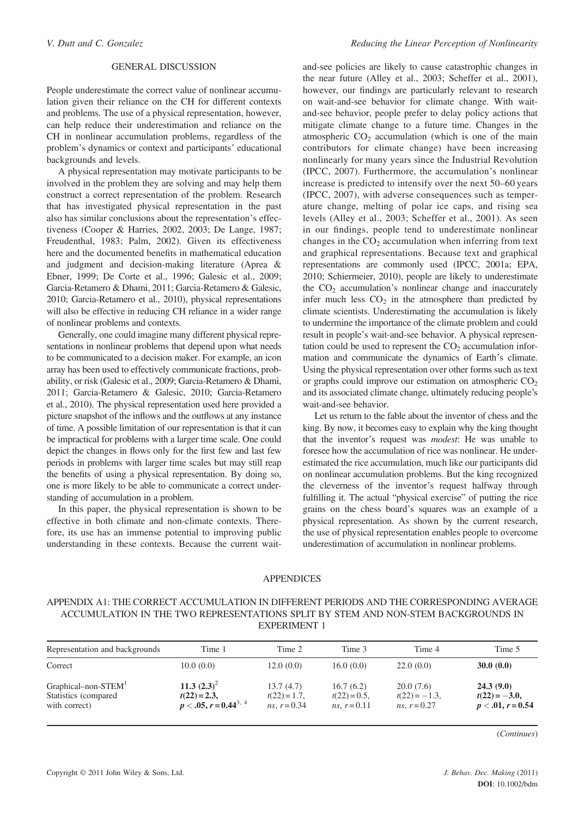# GENERAL DISCUSSION

People underestimate the correct value of nonlinear accumulation given their reliance on the CH for different contexts and problems. The use of a physical representation, however, can help reduce their underestimation and reliance on the CH in nonlinear accumulation problems, regardless of the problem's dynamics or context and participants' educational backgrounds and levels.

A physical representation may motivate participants to be involved in the problem they are solving and may help them construct a correct representation of the problem. Research that has investigated physical representation in the past also has similar conclusions about the representation's effectiveness (Cooper & Harries, 2002, 2003; De Lange, 1987; Freudenthal, 1983; Palm, 2002). Given its effectiveness here and the documented benefits in mathematical education and judgment and decision-making literature (Aprea & Ebner, 1999; De Corte et al., 1996; Galesic et al., 2009; Garcia-Retamero & Dhami, 2011; Garcia-Retamero & Galesic, 2010; Garcia-Retamero et al., 2010), physical representations will also be effective in reducing CH reliance in a wider range of nonlinear problems and contexts.

Generally, one could imagine many different physical representations in nonlinear problems that depend upon what needs to be communicated to a decision maker. For example, an icon array has been used to effectively communicate fractions, probability, or risk (Galesic et al., 2009; Garcia-Retamero & Dhami, 2011; Garcia-Retamero & Galesic, 2010; Garcia-Retamero et al., 2010). The physical representation used here provided a picture snapshot of the inflows and the outflows at any instance of time. A possible limitation of our representation is that it can be impractical for problems with a larger time scale. One could depict the changes in flows only for the first few and last few periods in problems with larger time scales but may still reap the benefits of using a physical representation. By doing so, one is more likely to be able to communicate a correct understanding of accumulation in a problem.

In this paper, the physical representation is shown to be effective in both climate and non-climate contexts. Therefore, its use has an immense potential to improving public understanding in these contexts. Because the current waitand-see policies are likely to cause catastrophic changes in the near future (Alley et al., 2003; Scheffer et al., 2001), however, our findings are particularly relevant to research on wait-and-see behavior for climate change. With waitand-see behavior, people prefer to delay policy actions that mitigate climate change to a future time. Changes in the atmospheric  $CO<sub>2</sub>$  accumulation (which is one of the main contributors for climate change) have been increasing nonlinearly for many years since the Industrial Revolution (IPCC, 2007). Furthermore, the accumulation's nonlinear increase is predicted to intensify over the next 50–60 years (IPCC, 2007), with adverse consequences such as temperature change, melting of polar ice caps, and rising sea levels (Alley et al., 2003; Scheffer et al., 2001). As seen in our findings, people tend to underestimate nonlinear changes in the  $CO<sub>2</sub>$  accumulation when inferring from text and graphical representations. Because text and graphical representations are commonly used (IPCC, 2001a; EPA, 2010; Schiermeier, 2010), people are likely to underestimate the  $CO<sub>2</sub>$  accumulation's nonlinear change and inaccurately infer much less  $CO<sub>2</sub>$  in the atmosphere than predicted by climate scientists. Underestimating the accumulation is likely to undermine the importance of the climate problem and could result in people's wait-and-see behavior. A physical representation could be used to represent the  $CO<sub>2</sub>$  accumulation information and communicate the dynamics of Earth's climate. Using the physical representation over other forms such as text or graphs could improve our estimation on atmospheric  $CO<sub>2</sub>$ and its associated climate change, ultimately reducing people's wait-and-see behavior.

Let us return to the fable about the inventor of chess and the king. By now, it becomes easy to explain why the king thought that the inventor's request was modest: He was unable to foresee how the accumulation of rice was nonlinear. He underestimated the rice accumulation, much like our participants did on nonlinear accumulation problems. But the king recognized the cleverness of the inventor's request halfway through fulfilling it. The actual "physical exercise" of putting the rice grains on the chess board's squares was an example of a physical representation. As shown by the current research, the use of physical representation enables people to overcome underestimation of accumulation in nonlinear problems.

#### APPENDICES

# APPENDIX A1: THE CORRECT ACCUMULATION IN DIFFERENT PERIODS AND THE CORRESPONDING AVERAGE ACCUMULATION IN THE TWO REPRESENTATIONS SPLIT BY STEM AND NON-STEM BACKGROUNDS IN EXPERIMENT 1

| Representation and backgrounds                                            | Time 1                                                         | Time 2                                                 | Time 3                                       | Time 4                                        | Time 5                                             |
|---------------------------------------------------------------------------|----------------------------------------------------------------|--------------------------------------------------------|----------------------------------------------|-----------------------------------------------|----------------------------------------------------|
| Correct                                                                   | 10.0(0.0)                                                      | 12.0(0.0)                                              | 16.0(0.0)                                    | 22.0(0.0)                                     | 30.0(0.0)                                          |
| Graphical-non-STEM <sup>1</sup><br>Statistics (compared)<br>with correct) | 11.3 $(2.3)^2$<br>$t(22) = 2.3$ ,<br>$p < .05, r = 0.44^{3,4}$ | 13.7(4.7)<br>$t(22) = 1.7$ ,<br><i>ns</i> , $r = 0.34$ | 16.7(6.2)<br>$t(22)=0.5$ ,<br>ns, $r = 0.11$ | 20.0(7.6)<br>$t(22) = -1.3$<br>ns, $r = 0.27$ | 24.3(9.0)<br>$t(22) = -3.0$<br>$p < .01, r = 0.54$ |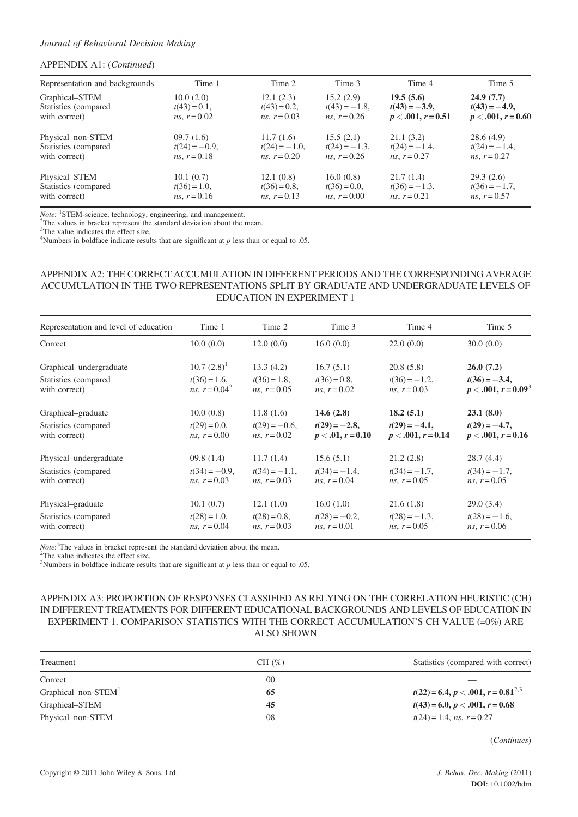# APPENDIX A1: (Continued)

| Representation and backgrounds | Time 1                 | Time 2                 | Time 3                 | Time 4               | Time 5               |
|--------------------------------|------------------------|------------------------|------------------------|----------------------|----------------------|
| Graphical-STEM                 | 10.0(2.0)              | 12.1(2.3)              | 15.2(2.9)              | 19.5(5.6)            | 24.9(7.7)            |
| Statistics (compared)          | $t(43) = 0.1$ ,        | $t(43) = 0.2$ ,        | $t(43) = -1.8$ ,       | $t(43) = -3.9$ ,     | $t(43) = -4.9$ ,     |
| with correct)                  | <i>ns</i> , $r = 0.02$ | <i>ns</i> , $r = 0.03$ | $ns, r = 0.26$         | $p < .001, r = 0.51$ | $p < .001, r = 0.60$ |
| Physical-non-STEM              | 09.7(1.6)              | 11.7(1.6)              | 15.5(2.1)              | 21.1(3.2)            | 28.6(4.9)            |
| Statistics (compared           | $t(24) = -0.9$ ,       | $t(24) = -1.0$ ,       | $t(24) = -1.3$         | $t(24) = -1.4$ ,     | $t(24) = -1.4$ ,     |
| with correct)                  | $ns, r = 0.18$         | ns, $r = 0.20$         | $ns, r = 0.26$         | ns. $r = 0.27$       | $ns, r = 0.27$       |
| Physical-STEM                  | 10.1(0.7)              | 12.1(0.8)              | 16.0(0.8)              | 21.7(1.4)            | 29.3(2.6)            |
| Statistics (compared)          | $t(36) = 1.0$ ,        | $t(36) = 0.8$ ,        | $t(36) = 0.0$ ,        | $t(36) = -1.3$       | $t(36) = -1.7$ ,     |
| with correct)                  | ns, $r = 0.16$         | ns, $r = 0.13$         | <i>ns</i> , $r = 0.00$ | ns, $r = 0.21$       | ns, $r = 0.57$       |

*Note*: <sup>1</sup>STEM-science, technology, engineering, and management. <sup>2</sup>The values in bracket represent the standard deviation about the

<sup>2</sup>The values in bracket represent the standard deviation about the mean.

<sup>3</sup>The value indicates the effect size.

<sup>4</sup>Numbers in boldface indicate results that are significant at  $p$  less than or equal to .05.

# APPENDIX A2: THE CORRECT ACCUMULATION IN DIFFERENT PERIODS AND THE CORRESPONDING AVERAGE ACCUMULATION IN THE TWO REPRESENTATIONS SPLIT BY GRADUATE AND UNDERGRADUATE LEVELS OF EDUCATION IN EXPERIMENT 1

| Representation and level of education | Time 1                              | Time 2                             | Time 3                                   | Time 4                                   | Time 5                                     |
|---------------------------------------|-------------------------------------|------------------------------------|------------------------------------------|------------------------------------------|--------------------------------------------|
| Correct                               | 10.0(0.0)                           | 12.0(0.0)                          | 16.0(0.0)                                | 22.0(0.0)                                | 30.0(0.0)                                  |
| Graphical–undergraduate               | $10.7~(2.8)^1$                      | 13.3(4.2)                          | 16.7(5.1)                                | 20.8(5.8)                                | 26.0(7.2)                                  |
| Statistics (compared<br>with correct) | $t(36) = 1.6$ ,<br>ns, $r = 0.04^2$ | $t(36) = 1.8$ ,<br>$ns, r = 0.05$  | $t(36) = 0.8$ ,<br>$ns, r = 0.02$        | $t(36) = -1.2$ ,<br>$ns, r = 0.03$       | $t(36) = -3.4$ ,<br>$p < .001, r = 0.093$  |
| Graphical–graduate                    | 10.0(0.8)                           | 11.8(1.6)                          | 14.6 $(2.8)$                             | 18.2(5.1)                                | 23.1(8.0)                                  |
| Statistics (compared<br>with correct) | $t(29) = 0.0$ ,<br>$ns, r = 0.00$   | $t(29) = -0.6$ ,<br>$ns, r = 0.02$ | $t(29) = -2.8$<br>$p < .01, r = 0.10$    | $t(29) = -4.1$ ,<br>$p < .001, r = 0.14$ | $t(29) = -4.7$ ,<br>$p < .001, r = 0.16$   |
| Physical–undergraduate                | 09.8(1.4)                           | 11.7(1.4)                          | 15.6(5.1)                                | 21.2(2.8)                                | 28.7(4.4)                                  |
| Statistics (compared<br>with correct) | $t(34) = -0.9$ ,<br>$ns, r = 0.03$  | $t(34) = -1.1$ ,<br>$ns, r = 0.03$ | $t(34) = -1.4$ ,<br>$ns, r = 0.04$       | $t(34) = -1.7$ ,<br>$ns, r = 0.05$       | $t(34) = -1.7$ ,<br><i>ns</i> , $r = 0.05$ |
| Physical–graduate                     | 10.1(0.7)                           | 12.1(1.0)                          | 16.0(1.0)                                | 21.6(1.8)                                | 29.0(3.4)                                  |
| Statistics (compared<br>with correct) | $t(28) = 1.0$ ,<br>$ns, r = 0.04$   | $t(28) = 0.8$ ,<br>ns, $r = 0.03$  | $t(28) = -0.2$<br><i>ns</i> , $r = 0.01$ | $t(28) = -1.3$ ,<br>ns, $r = 0.05$       | $t(28) = -1.6$ ,<br>$ns, r = 0.06$         |

*Note*:<sup>1</sup>The values in bracket represent the standard deviation about the mean.  $^{2}$ The value indicates the effect size

 $2$ The value indicates the effect size.

<sup>3</sup>Numbers in boldface indicate results that are significant at  $p$  less than or equal to .05.

# APPENDIX A3: PROPORTION OF RESPONSES CLASSIFIED AS RELYING ON THE CORRELATION HEURISTIC (CH) IN DIFFERENT TREATMENTS FOR DIFFERENT EDUCATIONAL BACKGROUNDS AND LEVELS OF EDUCATION IN EXPERIMENT 1. COMPARISON STATISTICS WITH THE CORRECT ACCUMULATION'S CH VALUE (=0%) ARE ALSO SHOWN

| CH $(\% )$ | Statistics (compared with correct)      |
|------------|-----------------------------------------|
| 00         |                                         |
| 65         | $t(22) = 6.4, p < .001, r = 0.81^{2.3}$ |
| 45         | $t(43) = 6.0, p < .001, r = 0.68$       |
| 08         | $t(24) = 1.4$ , ns, $r = 0.27$          |
|            |                                         |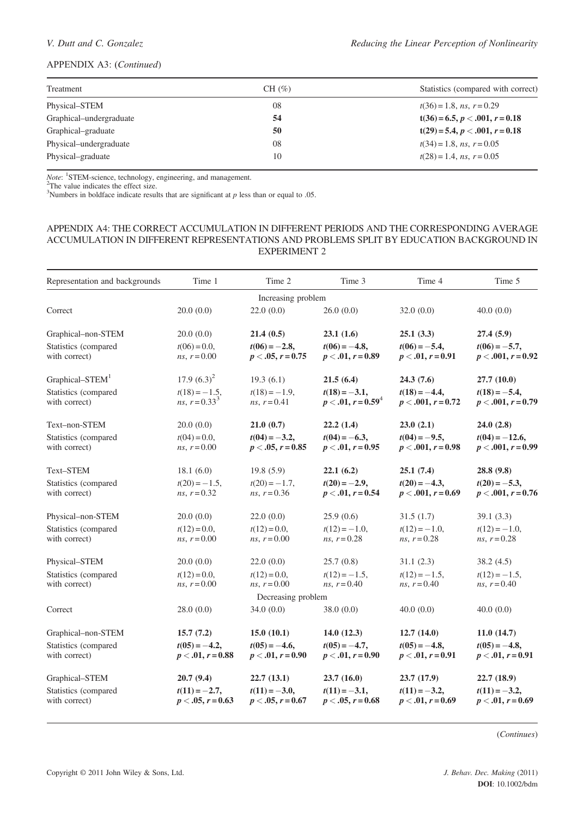# APPENDIX A3: (Continued)

| Treatment               | $CH(\%)$ | Statistics (compared with correct) |
|-------------------------|----------|------------------------------------|
| Physical–STEM           | 08       | $t(36) = 1.8$ , ns, $r = 0.29$     |
| Graphical–undergraduate | 54       | $t(36) = 6.5, p < .001, r = 0.18$  |
| Graphical–graduate      | 50       | $t(29) = 5.4, p < .001, r = 0.18$  |
| Physical–undergraduate  | 08       | $t(34) = 1.8$ , ns, $r = 0.05$     |
| Physical–graduate       | 10       | $t(28) = 1.4$ , ns, $r = 0.05$     |

Note: <sup>1</sup>STEM-science, technology, engineering, and management.<br><sup>2</sup>The value indicates the effect size.<br><sup>3</sup>Numbers in boldface indicate results that are significant at p less than or equal to .05.

# APPENDIX A4: THE CORRECT ACCUMULATION IN DIFFERENT PERIODS AND THE CORRESPONDING AVERAGE ACCUMULATION IN DIFFERENT REPRESENTATIONS AND PROBLEMS SPLIT BY EDUCATION BACKGROUND IN EXPERIMENT 2

| Representation and backgrounds        | Time 1                                    | Time 2                                  | Time 3                                   | Time 4                                   | Time 5                                    |
|---------------------------------------|-------------------------------------------|-----------------------------------------|------------------------------------------|------------------------------------------|-------------------------------------------|
| Increasing problem                    |                                           |                                         |                                          |                                          |                                           |
| Correct                               | 20.0(0.0)                                 | 22.0(0.0)                               | 26.0(0.0)                                | 32.0(0.0)                                | 40.0(0.0)                                 |
| Graphical-non-STEM                    | 20.0(0.0)                                 | 21.4(0.5)                               | 23.1(1.6)                                | 25.1(3.3)                                | 27.4(5.9)                                 |
| Statistics (compared<br>with correct) | $t(06) = 0.0$ ,<br><i>ns</i> , $r = 0.00$ | $t(06) = -2.8$<br>$p < .05, r = 0.75$   | $t(06) = -4.8$<br>$p < .01, r = 0.89$    | $t(06) = -5.4$ ,<br>$p < .01, r = 0.91$  | $t(06) = -5.7$<br>$p < .001, r = 0.92$    |
| Graphical-STEM <sup>1</sup>           | $17.9(6.3)^2$                             | 19.3(6.1)                               | 21.5(6.4)                                | 24.3(7.6)                                | 27.7 (10.0)                               |
| Statistics (compared<br>with correct) | $t(18) = -1.5$ ,<br>ns, $r = 0.33^3$      | $t(18) = -1.9$ .<br>$ns, r = 0.41$      | $t(18) = -3.1$ ,<br>$p < .01, r = 0.594$ | $t(18) = -4.4$<br>$p < .001, r = 0.72$   | $t(18) = -5.4$ ,<br>$p < .001, r = 0.79$  |
| Text-non-STEM                         | 20.0(0.0)                                 | 21.0(0.7)                               | 22.2(1.4)                                | 23.0(2.1)                                | 24.0(2.8)                                 |
| Statistics (compared<br>with correct) | $t(04)=0.0$ ,<br><i>ns</i> , $r = 0.00$   | $t(04) = -3.2$ ,<br>$p < .05, r = 0.85$ | $t(04) = -6.3$ ,<br>$p < .01, r = 0.95$  | $t(04) = -9.5$ ,<br>$p < .001, r = 0.98$ | $t(04) = -12.6$ ,<br>$p < .001, r = 0.99$ |
| Text-STEM                             | 18.1(6.0)                                 | 19.8(5.9)                               | 22.1(6.2)                                | 25.1(7.4)                                | 28.8 (9.8)                                |
| Statistics (compared<br>with correct) | $t(20) = -1.5$ ,<br>$ns, r = 0.32$        | $t(20) = -1.7$ .<br>$ns, r = 0.36$      | $t(20) = -2.9$<br>$p < .01, r = 0.54$    | $t(20) = -4.3$<br>$p < .001, r = 0.69$   | $t(20) = -5.3$ .<br>$p < .001, r = 0.76$  |
| Physical-non-STEM                     | 20.0(0.0)                                 | 22.0(0.0)                               | 25.9(0.6)                                | 31.5(1.7)                                | 39.1(3.3)                                 |
| Statistics (compared<br>with correct) | $t(12)=0.0$ ,<br>$ns, r = 0.00$           | $t(12)=0.0$ ,<br><i>ns</i> , $r = 0.00$ | $t(12) = -1.0$ ,<br>$ns, r = 0.28$       | $t(12) = -1.0$ ,<br>$ns, r = 0.28$       | $t(12) = -1.0$ ,<br>$ns, r = 0.28$        |
| Physical-STEM                         | 20.0(0.0)                                 | 22.0(0.0)                               | 25.7(0.8)                                | 31.1(2.3)                                | 38.2(4.5)                                 |
| Statistics (compared<br>with correct) | $t(12)=0.0$ ,<br>$ns, r = 0.00$           | $t(12)=0.0$ ,<br>$ns, r = 0.00$         | $t(12) = -1.5$ ,<br>$ns, r = 0.40$       | $t(12) = -1.5$ ,<br>$ns, r = 0.40$       | $t(12) = -1.5$ ,<br>$ns, r = 0.40$        |
|                                       |                                           | Decreasing problem                      |                                          |                                          |                                           |
| Correct                               | 28.0(0.0)                                 | 34.0(0.0)                               | 38.0(0.0)                                | 40.0(0.0)                                | 40.0(0.0)                                 |
| Graphical-non-STEM                    | 15.7(7.2)                                 | 15.0(10.1)                              | 14.0(12.3)                               | 12.7(14.0)                               | 11.0(14.7)                                |
| Statistics (compared<br>with correct) | $t(05) = -4.2$<br>$p < .01, r = 0.88$     | $t(05) = -4.6$ ,<br>$p < .01, r = 0.90$ | $t(05) = -4.7$ ,<br>$p < .01, r = 0.90$  | $t(05) = -4.8$ ,<br>$p < .01, r = 0.91$  | $t(05) = -4.8$<br>$p < .01, r = 0.91$     |
| Graphical-STEM                        | 20.7(9.4)                                 | 22.7(13.1)                              | 23.7(16.0)                               | 23.7(17.9)                               | 22.7 (18.9)                               |
| Statistics (compared<br>with correct) | $t(11) = -2.7$ ,<br>$p < .05, r = 0.63$   | $t(11) = -3.0$ ,<br>$p < .05, r = 0.67$ | $t(11) = -3.1$ ,<br>$p < .05, r = 0.68$  | $t(11) = -3.2$<br>$p < .01, r = 0.69$    | $t(11) = -3.2$<br>$p < .01, r = 0.69$     |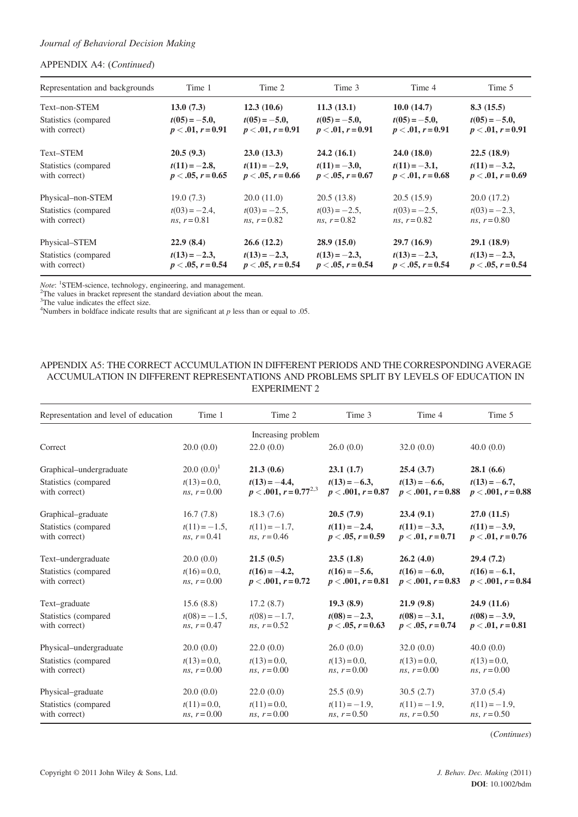# APPENDIX A4: (Continued)

| Representation and backgrounds         | Time 1                                  | Time 2                                     | Time 3                                  | Time 4                                  | Time 5                                |
|----------------------------------------|-----------------------------------------|--------------------------------------------|-----------------------------------------|-----------------------------------------|---------------------------------------|
| Text-non-STEM                          | 13.0(7.3)                               | 12.3(10.6)                                 | 11.3(13.1)                              | 10.0(14.7)                              | 8.3(15.5)                             |
| Statistics (compared)<br>with correct) | $t(05) = -5.0$ ,<br>$p < .01, r = 0.91$ | $t(05) = -5.0$ ,<br>$p < .01, r = 0.91$    | $t(05) = -5.0$ ,<br>$p < .01, r = 0.91$ | $t(05) = -5.0$ ,<br>$p < .01, r = 0.91$ | $t(05) = -5.0$<br>$p < .01, r = 0.91$ |
| Text-STEM                              | 20.5(9.3)                               | 23.0(13.3)                                 | 24.2(16.1)                              | 24.0(18.0)                              | 22.5(18.9)                            |
| Statistics (compared)<br>with correct) | $t(11) = -2.8$<br>$p < .05, r = 0.65$   | $t(11) = -2.9$<br>$p < .05, r = 0.66$      | $t(11) = -3.0$ ,<br>$p < .05, r = 0.67$ | $t(11) = -3.1$ ,<br>$p < .01, r = 0.68$ | $t(11) = -3.2$<br>$p < .01, r = 0.69$ |
| Physical-non-STEM                      | 19.0(7.3)                               | 20.0(11.0)                                 | 20.5(13.8)                              | 20.5(15.9)                              | 20.0(17.2)                            |
| Statistics (compared)<br>with correct) | $t(03) = -2.4$ ,<br>$ns, r = 0.81$      | $t(03) = -2.5$ ,<br><i>ns</i> , $r = 0.82$ | $t(03) = -2.5$ ,<br>$ns, r = 0.82$      | $t(03) = -2.5$ ,<br>$ns, r = 0.82$      | $t(03) = -2.3$<br>$ns, r = 0.80$      |
| Physical–STEM                          | 22.9(8.4)                               | 26.6(12.2)                                 | 28.9(15.0)                              | 29.7(16.9)                              | 29.1(18.9)                            |
| Statistics (compared)<br>with correct) | $t(13) = -2.3$<br>$p < .05, r = 0.54$   | $t(13) = -2.3$<br>$p < .05, r = 0.54$      | $t(13) = -2.3$<br>$p < .05, r = 0.54$   | $t(13) = -2.3$<br>$p < .05, r = 0.54$   | $t(13) = -2.3$<br>$p < .05, r = 0.54$ |

Note: <sup>1</sup>STEM-science, technology, engineering, and management.<br><sup>2</sup>The values in bracket represent the standard deviation about the mean.<br><sup>3</sup>The value indicates the effect size.

<sup>4</sup>Numbers in boldface indicate results that are significant at  $p$  less than or equal to .05.

# APPENDIX A5: THE CORRECT ACCUMULATION IN DIFFERENT PERIODS AND THE CORRESPONDING AVERAGE ACCUMULATION IN DIFFERENT REPRESENTATIONS AND PROBLEMS SPLIT BY LEVELS OF EDUCATION IN EXPERIMENT 2

| Representation and level of education | Time 1                                    | Time 2                                         | Time 3                                   | Time 4                                    | Time 5                                   |
|---------------------------------------|-------------------------------------------|------------------------------------------------|------------------------------------------|-------------------------------------------|------------------------------------------|
|                                       |                                           | Increasing problem                             |                                          |                                           |                                          |
| Correct                               | 20.0(0.0)                                 | 22.0(0.0)                                      | 26.0(0.0)                                | 32.0(0.0)                                 | 40.0(0.0)                                |
| Graphical–undergraduate               | $20.0~(0.0)^1$                            | 21.3(0.6)                                      | 23.1(1.7)                                | 25.4(3.7)                                 | 28.1(6.6)                                |
| Statistics (compared<br>with correct) | $t(13) = 0.0$ ,<br>$ns, r = 0.00$         | $t(13) = -4.4$ ,<br>$p < .001, r = 0.77^{2.3}$ | $t(13) = -6.3$<br>$p < .001, r = 0.87$   | $t(13) = -6.6$ ,<br>$p < .001, r = 0.88$  | $t(13) = -6.7$ ,<br>$p < .001, r = 0.88$ |
| Graphical–graduate                    | 16.7(7.8)                                 | 18.3(7.6)                                      | 20.5(7.9)                                | 23.4(9.1)                                 | 27.0(11.5)                               |
| Statistics (compared<br>with correct) | $t(11) = -1.5$ ,<br>$ns, r = 0.41$        | $t(11) = -1.7$ ,<br>$ns, r = 0.46$             | $t(11) = -2.4$<br>$p < .05, r = 0.59$    | $t(11) = -3.3$<br>$p < .01, r = 0.71$     | $t(11) = -3.9$ ,<br>$p < .01, r = 0.76$  |
| Text-undergraduate                    | 20.0(0.0)                                 | 21.5(0.5)                                      | 23.5(1.8)                                | 26.2(4.0)                                 | 29.4(7.2)                                |
| Statistics (compared<br>with correct) | $t(16) = 0.0$ ,<br><i>ns</i> , $r = 0.00$ | $t(16) = -4.2$<br>$p < .001, r = 0.72$         | $t(16) = -5.6$ ,<br>$p < .001, r = 0.81$ | $t(16) = -6.0$ ,<br>$p < .001, r = 0.83$  | $t(16) = -6.1$ ,<br>$p < .001, r = 0.84$ |
| Text-graduate                         | 15.6(8.8)                                 | 17.2(8.7)                                      | 19.3(8.9)                                | 21.9(9.8)                                 | 24.9(11.6)                               |
| Statistics (compared<br>with correct) | $t(08) = -1.5$ ,<br>$ns, r = 0.47$        | $t(08) = -1.7$ ,<br>$ns, r = 0.52$             | $t(08) = -2.3$<br>$p < .05, r = 0.63$    | $t(08) = -3.1$ ,<br>$p < .05, r = 0.74$   | $t(08) = -3.9$ ,<br>$p < .01, r = 0.81$  |
| Physical–undergraduate                | 20.0(0.0)                                 | 22.0(0.0)                                      | 26.0(0.0)                                | 32.0(0.0)                                 | 40.0(0.0)                                |
| Statistics (compared<br>with correct) | $t(13) = 0.0$ ,<br><i>ns</i> , $r = 0.00$ | $t(13) = 0.0$ ,<br>$ns, r = 0.00$              | $t(13) = 0.0$ ,<br>$ns, r = 0.00$        | $t(13) = 0.0$ ,<br><i>ns</i> , $r = 0.00$ | $t(13)=0.0$ ,<br><i>ns</i> , $r = 0.00$  |
| Physical–graduate                     | 20.0(0.0)                                 | 22.0(0.0)                                      | 25.5(0.9)                                | 30.5(2.7)                                 | 37.0(5.4)                                |
| Statistics (compared<br>with correct) | $t(11) = 0.0$ ,<br><i>ns</i> , $r = 0.00$ | $t(11) = 0.0$ ,<br>$ns, r = 0.00$              | $t(11) = -1.9$ ,<br>$ns, r = 0.50$       | $t(11) = -1.9$ ,<br>$ns, r = 0.50$        | $t(11) = -1.9$ ,<br>$ns, r = 0.50$       |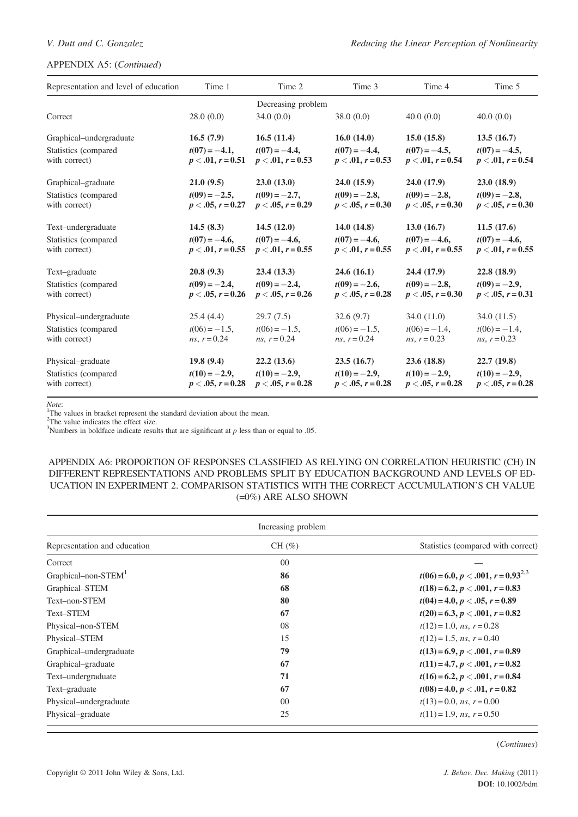# APPENDIX A5: (Continued)

| Representation and level of education | Time 1                                  | Time 2                                  | Time 3                                  | Time 4                                  | Time 5                                  |
|---------------------------------------|-----------------------------------------|-----------------------------------------|-----------------------------------------|-----------------------------------------|-----------------------------------------|
|                                       |                                         | Decreasing problem                      |                                         |                                         |                                         |
| Correct                               | 28.0(0.0)                               | 34.0(0.0)                               | 38.0(0.0)                               | 40.0(0.0)                               | 40.0(0.0)                               |
| Graphical–undergraduate               | 16.5(7.9)                               | 16.5(11.4)                              | 16.0(14.0)                              | 15.0(15.8)                              | 13.5(16.7)                              |
| Statistics (compared<br>with correct) | $t(07) = -4.1$ ,<br>$p < .01, r = 0.51$ | $t(07) = -4.4$ ,<br>$p < .01, r = 0.53$ | $t(07) = -4.4$ ,<br>$p < .01, r = 0.53$ | $t(07) = -4.5$ ,<br>$p < .01, r = 0.54$ | $t(07) = -4.5$ ,<br>$p < .01, r = 0.54$ |
| Graphical–graduate                    | 21.0(9.5)                               | 23.0(13.0)                              | 24.0(15.9)                              | 24.0(17.9)                              | 23.0(18.9)                              |
| Statistics (compared<br>with correct) | $t(09) = -2.5$ ,<br>$p < .05, r = 0.27$ | $t(09) = -2.7$ ,<br>$p < .05, r = 0.29$ | $t(09) = -2.8$<br>$p < .05, r = 0.30$   | $t(09) = -2.8$<br>$p < .05, r = 0.30$   | $t(09) = -2.8$<br>$p < .05, r = 0.30$   |
| Text-undergraduate                    | 14.5(8.3)                               | 14.5(12.0)                              | 14.0(14.8)                              | 13.0(16.7)                              | 11.5(17.6)                              |
| Statistics (compared<br>with correct) | $t(07) = -4.6$ ,<br>$p < .01, r = 0.55$ | $t(07) = -4.6$ ,<br>$p < .01, r = 0.55$ | $t(07) = -4.6$ ,<br>$p < .01, r = 0.55$ | $t(07) = -4.6$ ,<br>$p < .01, r = 0.55$ | $t(07) = -4.6$ ,<br>$p < .01, r = 0.55$ |
| Text-graduate                         | 20.8(9.3)                               | 23.4(13.3)                              | 24.6(16.1)                              | 24.4(17.9)                              | 22.8(18.9)                              |
| Statistics (compared<br>with correct) | $t(09) = -2.4$ ,<br>$p < .05, r = 0.26$ | $t(09) = -2.4$ ,<br>$p < .05, r = 0.26$ | $t(09) = -2.6$ ,<br>$p < .05, r = 0.28$ | $t(09) = -2.8$<br>$p < .05, r = 0.30$   | $t(09) = -2.9$ ,<br>$p < .05, r = 0.31$ |
| Physical–undergraduate                | 25.4(4.4)                               | 29.7(7.5)                               | 32.6(9.7)                               | 34.0(11.0)                              | 34.0(11.5)                              |
| Statistics (compared<br>with correct) | $t(06) = -1.5$ ,<br>$ns, r = 0.24$      | $t(06) = -1.5$ ,<br>$ns, r = 0.24$      | $t(06) = -1.5$ ,<br>$ns, r = 0.24$      | $t(06) = -1.4$ ,<br>$ns, r = 0.23$      | $t(06) = -1.4$ ,<br>$ns, r = 0.23$      |
| Physical–graduate                     | 19.8(9.4)                               | 22.2(13.6)                              | 23.5(16.7)                              | 23.6(18.8)                              | 22.7(19.8)                              |
| Statistics (compared<br>with correct) | $t(10) = -2.9$ ,<br>$p < .05, r = 0.28$ | $t(10) = -2.9$ ,<br>$p < .05, r = 0.28$ | $t(10) = -2.9$<br>$p < .05, r = 0.28$   | $t(10) = -2.9$ ,<br>$p < .05, r = 0.28$ | $t(10) = -2.9$ ,<br>$p < .05, r = 0.28$ |

Note:<br><sup>1</sup>The values in bracket represent the standard deviation about the mean.<br><sup>2</sup>The value indicates the effect size

 $2$ The value indicates the effect size.

<sup>3</sup>Numbers in boldface indicate results that are significant at  $p$  less than or equal to .05.

# APPENDIX A6: PROPORTION OF RESPONSES CLASSIFIED AS RELYING ON CORRELATION HEURISTIC (CH) IN DIFFERENT REPRESENTATIONS AND PROBLEMS SPLIT BY EDUCATION BACKGROUND AND LEVELS OF ED-UCATION IN EXPERIMENT 2. COMPARISON STATISTICS WITH THE CORRECT ACCUMULATION'S CH VALUE (=0%) ARE ALSO SHOWN

| Increasing problem              |                |                                         |  |
|---------------------------------|----------------|-----------------------------------------|--|
| Representation and education    | $CH(\%)$       | Statistics (compared with correct)      |  |
| Correct                         | $00\,$         |                                         |  |
| Graphical-non-STEM <sup>1</sup> | 86             | $t(06) = 6.0, p < .001, r = 0.93^{2.3}$ |  |
| Graphical-STEM                  | 68             | $t(18) = 6.2, p < .001, r = 0.83$       |  |
| Text-non-STEM                   | 80             | $t(04) = 4.0, p < .05, r = 0.89$        |  |
| Text-STEM                       | 67             | $t(20) = 6.3, p < .001, r = 0.82$       |  |
| Physical-non-STEM               | 08             | $t(12) = 1.0$ , ns, $r = 0.28$          |  |
| Physical-STEM                   | 15             | $t(12) = 1.5$ , ns, $r = 0.40$          |  |
| Graphical–undergraduate         | 79             | $t(13) = 6.9, p < .001, r = 0.89$       |  |
| Graphical–graduate              | 67             | $t(11) = 4.7, p < .001, r = 0.82$       |  |
| Text-undergraduate              | 71             | $t(16) = 6.2, p < .001, r = 0.84$       |  |
| Text-graduate                   | 67             | $t(08) = 4.0, p < .01, r = 0.82$        |  |
| Physical–undergraduate          | 0 <sup>0</sup> | $t(13) = 0.0$ , ns, $r = 0.00$          |  |
| Physical–graduate               | 25             | $t(11) = 1.9$ , ns, $r = 0.50$          |  |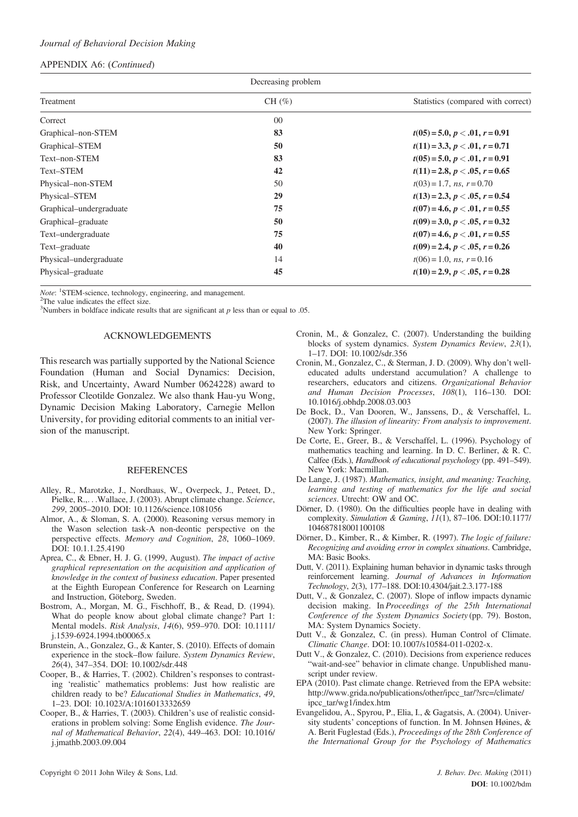## APPENDIX A6: (Continued)

| Decreasing problem      |           |                                    |  |
|-------------------------|-----------|------------------------------------|--|
| Treatment               | CH $(\%)$ | Statistics (compared with correct) |  |
| Correct                 | $00\,$    |                                    |  |
| Graphical-non-STEM      | 83        | $t(05) = 5.0, p < .01, r = 0.91$   |  |
| Graphical-STEM          | 50        | $t(11) = 3.3, p < .01, r = 0.71$   |  |
| Text-non-STEM           | 83        | $t(05) = 5.0, p < .01, r = 0.91$   |  |
| Text-STEM               | 42        | $t(11) = 2.8, p < .05, r = 0.65$   |  |
| Physical-non-STEM       | 50        | $t(03) = 1.7$ , ns, $r = 0.70$     |  |
| Physical-STEM           | 29        | $t(13) = 2.3, p < .05, r = 0.54$   |  |
| Graphical–undergraduate | 75        | $t(07) = 4.6, p < .01, r = 0.55$   |  |
| Graphical–graduate      | 50        | $t(09) = 3.0, p < .05, r = 0.32$   |  |
| Text-undergraduate      | 75        | $t(07) = 4.6, p < .01, r = 0.55$   |  |
| Text-graduate           | 40        | $t(09) = 2.4, p < .05, r = 0.26$   |  |
| Physical-undergraduate  | 14        | $t(06) = 1.0$ , ns, $r = 0.16$     |  |
| Physical–graduate       | 45        | $t(10) = 2.9, p < .05, r = 0.28$   |  |

*Note*: <sup>1</sup>STEM-science, technology, engineering, and management.

<sup>2</sup>The value indicates the effect size.

<sup>3</sup>Numbers in boldface indicate results that are significant at  $p$  less than or equal to .05.

# ACKNOWLEDGEMENTS

This research was partially supported by the National Science Foundation (Human and Social Dynamics: Decision, Risk, and Uncertainty, Award Number 0624228) award to Professor Cleotilde Gonzalez. We also thank Hau-yu Wong, Dynamic Decision Making Laboratory, Carnegie Mellon University, for providing editorial comments to an initial version of the manuscript.

#### **REFERENCES**

- Alley, R., Marotzke, J., Nordhaus, W., Overpeck, J., Peteet, D., Pielke, R.,...Wallace, J. (2003). Abrupt climate change. Science, 299, 2005–2010. DOI: 10.1126/science.1081056
- Almor, A., & Sloman, S. A. (2000). Reasoning versus memory in the Wason selection task-A non-deontic perspective on the perspective effects. Memory and Cognition, 28, 1060–1069. DOI: 10.1.1.25.4190
- Aprea, C., & Ebner, H. J. G. (1999, August). The impact of active graphical representation on the acquisition and application of knowledge in the context of business education. Paper presented at the Eighth European Conference for Research on Learning and Instruction, Göteborg, Sweden.
- Bostrom, A., Morgan, M. G., Fischhoff, B., & Read, D. (1994). What do people know about global climate change? Part 1: Mental models. Risk Analysis, 14(6), 959–970. DOI: 10.1111/ j.1539-6924.1994.tb00065.x
- Brunstein, A., Gonzalez, G., & Kanter, S. (2010). Effects of domain experience in the stock–flow failure. System Dynamics Review, 26(4), 347–354. DOI: 10.1002/sdr.448
- Cooper, B., & Harries, T. (2002). Children's responses to contrasting 'realistic' mathematics problems: Just how realistic are children ready to be? Educational Studies in Mathematics, 49, 1–23. DOI: 10.1023/A:1016013332659
- Cooper, B., & Harries, T. (2003). Children's use of realistic considerations in problem solving: Some English evidence. The Journal of Mathematical Behavior, 22(4), 449–463. DOI: 10.1016/ j.jmathb.2003.09.004
- Cronin, M., & Gonzalez, C. (2007). Understanding the building blocks of system dynamics. System Dynamics Review, 23(1), 1–17. DOI: 10.1002/sdr.356
- Cronin, M., Gonzalez, C., & Sterman, J. D. (2009). Why don't welleducated adults understand accumulation? A challenge to researchers, educators and citizens. Organizational Behavior and Human Decision Processes, 108(1), 116–130. DOI: 10.1016/j.obhdp.2008.03.003
- De Bock, D., Van Dooren, W., Janssens, D., & Verschaffel, L. (2007). The illusion of linearity: From analysis to improvement. New York: Springer.
- De Corte, E., Greer, B., & Verschaffel, L. (1996). Psychology of mathematics teaching and learning. In D. C. Berliner, & R. C. Calfee (Eds.), Handbook of educational psychology (pp. 491–549). New York: Macmillan.
- De Lange, J. (1987). Mathematics, insight, and meaning: Teaching, learning and testing of mathematics for the life and social sciences. Utrecht: OW and OC.
- Dörner, D. (1980). On the difficulties people have in dealing with complexity. Simulation & Gaming,  $11(1)$ , 87-106. DOI:10.1177/ 104687818001100108
- Dörner, D., Kimber, R., & Kimber, R. (1997). The logic of failure: Recognizing and avoiding error in complex situations. Cambridge, MA: Basic Books.
- Dutt, V. (2011). Explaining human behavior in dynamic tasks through reinforcement learning. Journal of Advances in Information Technology, 2(3), 177–188. DOI:10.4304/jait.2.3.177-188
- Dutt, V., & Gonzalez, C. (2007). Slope of inflow impacts dynamic decision making. In Proceedings of the 25th International Conference of the System Dynamics Society (pp. 79). Boston, MA: System Dynamics Society.
- Dutt V., & Gonzalez, C. (in press). Human Control of Climate. Climatic Change. DOI: 10.1007/s10584-011-0202-x.
- Dutt V., & Gonzalez, C. (2010). Decisions from experience reduces "wait-and-see" behavior in climate change. Unpublished manuscript under review.
- EPA (2010). Past climate change. Retrieved from the EPA website: [http://www.grida.no/publications/other/ipcc\\_tar/?src=/climate/](http://www.grida.no/publications/other/ipcc_tar/?src=/climate/ipcc_tar/wg1/index.htm) [ipcc\\_tar/wg1/index.htm](http://www.grida.no/publications/other/ipcc_tar/?src=/climate/ipcc_tar/wg1/index.htm)
- Evangelidou, A., Spyrou, P., Elia, I., & Gagatsis, A. (2004). University students' conceptions of function. In M. Johnsen Høines, & A. Berit Fuglestad (Eds.), Proceedings of the 28th Conference of the International Group for the Psychology of Mathematics